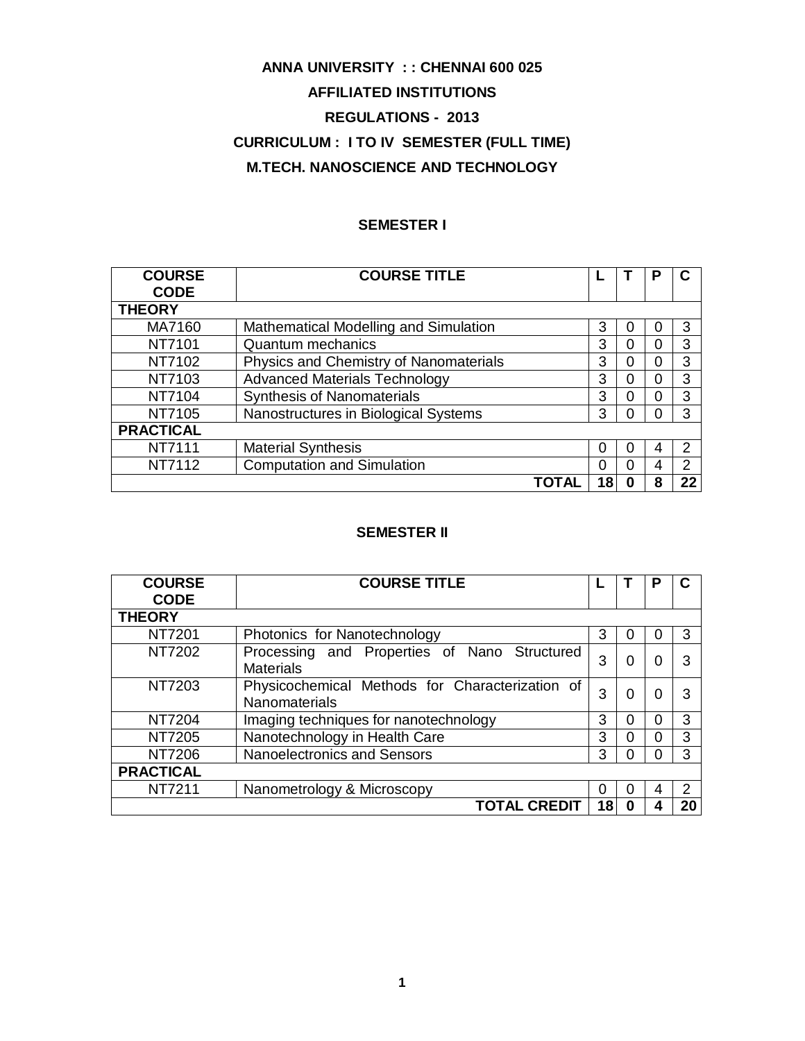# **ANNA UNIVERSITY : : CHENNAI 600 025 AFFILIATED INSTITUTIONS REGULATIONS - 2013 CURRICULUM : I TO IV SEMESTER (FULL TIME) M.TECH. NANOSCIENCE AND TECHNOLOGY**

# **SEMESTER I**

| <b>COURSE</b>    | <b>COURSE TITLE</b>                    |    |   | Р |                |
|------------------|----------------------------------------|----|---|---|----------------|
| <b>CODE</b>      |                                        |    |   |   |                |
| <b>THEORY</b>    |                                        |    |   |   |                |
| MA7160           | Mathematical Modelling and Simulation  | 3  | 0 |   | 3              |
| NT7101           | <b>Quantum mechanics</b>               | 3  | 0 | 0 | 3              |
| NT7102           | Physics and Chemistry of Nanomaterials | 3  | 0 | 0 | 3              |
| NT7103           | <b>Advanced Materials Technology</b>   | 3  | 0 | 0 | 3              |
| NT7104           | <b>Synthesis of Nanomaterials</b>      | 3  | O | 0 | 3              |
| NT7105           | Nanostructures in Biological Systems   | 3  | 0 | O | 3              |
| <b>PRACTICAL</b> |                                        |    |   |   |                |
| <b>NT7111</b>    | <b>Material Synthesis</b>              | 0  | O |   | 2              |
| NT7112           | <b>Computation and Simulation</b>      | 0  | 0 | 4 | $\mathfrak{p}$ |
|                  | ΤΟΤΑΙ                                  | 18 | 0 | 8 | 22             |

# **SEMESTER II**

| <b>COURSE</b>    | <b>COURSE TITLE</b>                                                     |    |          | Р |    |
|------------------|-------------------------------------------------------------------------|----|----------|---|----|
| <b>CODE</b>      |                                                                         |    |          |   |    |
| <b>THEORY</b>    |                                                                         |    |          |   |    |
| NT7201           | Photonics for Nanotechnology                                            | 3  | O        |   | 3  |
| NT7202           | Processing and Properties of Nano Structured<br><b>Materials</b>        | 3  | 0        |   | 3  |
| NT7203           | Physicochemical Methods for Characterization of<br><b>Nanomaterials</b> | 3  | $\Omega$ | 0 | 3  |
| <b>NT7204</b>    | Imaging techniques for nanotechnology                                   | 3  | 0        | 0 | 3  |
| NT7205           | Nanotechnology in Health Care                                           | 3  | 0        | 0 | 3  |
| NT7206           | <b>Nanoelectronics and Sensors</b>                                      | 3  | 0        | O | 3  |
| <b>PRACTICAL</b> |                                                                         |    |          |   |    |
| NT7211           | Nanometrology & Microscopy                                              | 0  | 0        | 4 | 2  |
|                  | <b>TOTAL CREDIT</b>                                                     | 18 | 0        |   | 20 |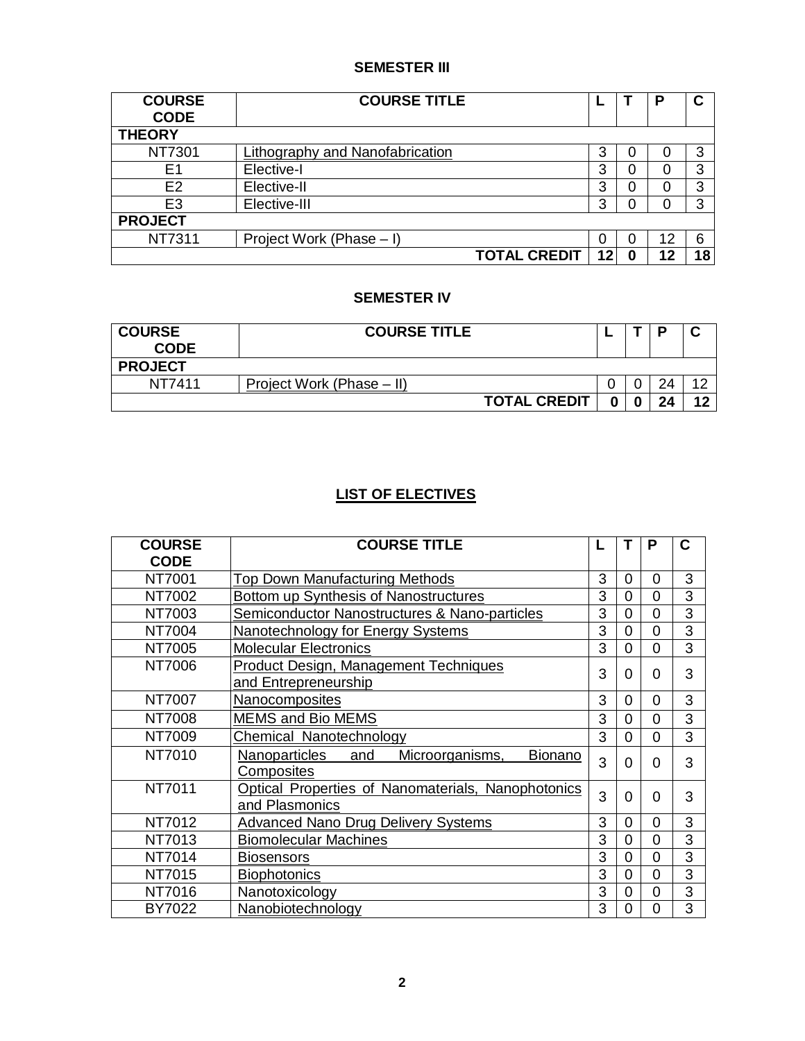# **SEMESTER III**

| <b>COURSE</b>  | <b>COURSE TITLE</b>             |    |   | Р      | $\mathbf c$ |
|----------------|---------------------------------|----|---|--------|-------------|
| <b>CODE</b>    |                                 |    |   |        |             |
| <b>THEORY</b>  |                                 |    |   |        |             |
| NT7301         | Lithography and Nanofabrication | 3  |   | O      | 3           |
| E1             | Elective-I                      | 3  | 0 | $\Box$ | 3           |
| E <sub>2</sub> | Elective-II                     | 3  |   |        | 3           |
| E <sub>3</sub> | Elective-III                    | 3  |   | 0      | 3           |
| <b>PROJECT</b> |                                 |    |   |        |             |
| NT7311         | Project Work (Phase – I)        |    |   | 12     | 6           |
|                | <b>TOTAL CREDIT</b>             | 12 | 0 | 12     | 18          |

# **SEMESTER IV**

| <b>COURSE</b><br><b>CODE</b> | <b>COURSE TITLE</b>       | - | o  | ື              |
|------------------------------|---------------------------|---|----|----------------|
| <b>PROJECT</b>               |                           |   |    |                |
| NT7411                       | Project Work (Phase – II) |   | 24 | $\overline{ }$ |
|                              | <b>TOTAL CREDIT</b>       |   | 24 | 10             |

# **LIST OF ELECTIVES**

| <b>COURSE</b> | <b>COURSE TITLE</b>                                                     | L |   | Ρ        | C              |
|---------------|-------------------------------------------------------------------------|---|---|----------|----------------|
| <b>CODE</b>   |                                                                         |   |   |          |                |
| NT7001        | Top Down Manufacturing Methods                                          | 3 | 0 | 0        | 3              |
| NT7002        | Bottom up Synthesis of Nanostructures                                   | 3 | 0 | 0        | 3              |
| NT7003        | Semiconductor Nanostructures & Nano-particles                           | 3 | 0 | 0        | 3              |
| NT7004        | <b>Nanotechnology for Energy Systems</b>                                | 3 | 0 | $\Omega$ | 3              |
| NT7005        | <b>Molecular Electronics</b>                                            | 3 | 0 | 0        | 3              |
| NT7006        | Product Design, Management Techniques<br>and Entrepreneurship           | 3 | 0 | 0        | 3              |
| NT7007        | Nanocomposites                                                          | 3 | 0 | $\Omega$ | 3              |
| NT7008        | <b>MEMS and Bio MEMS</b>                                                | 3 | 0 | 0        | 3              |
| NT7009        | Chemical Nanotechnology                                                 | 3 | 0 | $\Omega$ | 3              |
| NT7010        | <b>Bionano</b><br>Nanoparticles<br>and<br>Microorganisms,<br>Composites | 3 | 0 | 0        | 3              |
| NT7011        | Optical Properties of Nanomaterials, Nanophotonics<br>and Plasmonics    | 3 | 0 | 0        | 3              |
| NT7012        | <b>Advanced Nano Drug Delivery Systems</b>                              | 3 | 0 | $\Omega$ | 3              |
| NT7013        | <b>Biomolecular Machines</b>                                            | 3 | 0 | 0        | 3              |
| NT7014        | <b>Biosensors</b>                                                       | 3 | 0 | 0        | $\overline{3}$ |
| NT7015        | <b>Biophotonics</b>                                                     | 3 | 0 | 0        | 3              |
| NT7016        | Nanotoxicology                                                          | 3 | 0 | 0        | 3              |
| BY7022        | Nanobiotechnology                                                       | 3 | 0 | 0        | 3              |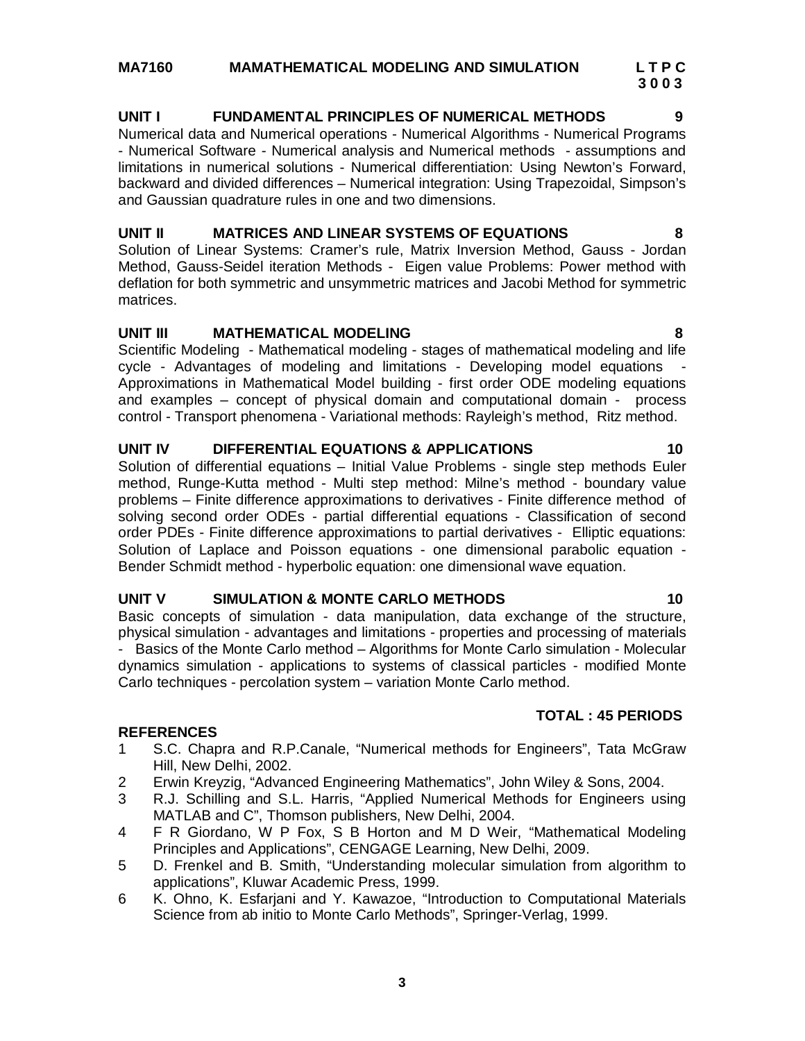**3**

**UNIT I FUNDAMENTAL PRINCIPLES OF NUMERICAL METHODS 9** Numerical data and Numerical operations - Numerical Algorithms - Numerical Programs - Numerical Software - Numerical analysis and Numerical methods - assumptions and limitations in numerical solutions - Numerical differentiation: Using Newton's Forward, backward and divided differences – Numerical integration: Using Trapezoidal, Simpson's and Gaussian quadrature rules in one and two dimensions.

# **UNIT II MATRICES AND LINEAR SYSTEMS OF EQUATIONS 8**

Solution of Linear Systems: Cramer's rule, Matrix Inversion Method, Gauss - Jordan Method, Gauss-Seidel iteration Methods - Eigen value Problems: Power method with deflation for both symmetric and unsymmetric matrices and Jacobi Method for symmetric matrices.

# **UNIT III MATHEMATICAL MODELING 8**

Scientific Modeling - Mathematical modeling - stages of mathematical modeling and life cycle - Advantages of modeling and limitations - Developing model equations - Approximations in Mathematical Model building - first order ODE modeling equations and examples – concept of physical domain and computational domain - process control - Transport phenomena - Variational methods: Rayleigh's method, Ritz method.

# **UNIT IV DIFFERENTIAL EQUATIONS & APPLICATIONS 10**

Solution of differential equations – Initial Value Problems - single step methods Euler method, Runge-Kutta method - Multi step method: Milne's method - boundary value problems – Finite difference approximations to derivatives - Finite difference method of solving second order ODEs - partial differential equations - Classification of second order PDEs - Finite difference approximations to partial derivatives - Elliptic equations: Solution of Laplace and Poisson equations - one dimensional parabolic equation - Bender Schmidt method - hyperbolic equation: one dimensional wave equation.

# **UNIT V SIMULATION & MONTE CARLO METHODS 10**

Basic concepts of simulation - data manipulation, data exchange of the structure, physical simulation - advantages and limitations - properties and processing of materials - Basics of the Monte Carlo method – Algorithms for Monte Carlo simulation - Molecular dynamics simulation - applications to systems of classical particles - modified Monte Carlo techniques - percolation system – variation Monte Carlo method.

# **REFERENCES**

- 1 S.C. Chapra and R.P.Canale, "Numerical methods for Engineers", Tata McGraw Hill, New Delhi, 2002.
- 2 Erwin Kreyzig, "Advanced Engineering Mathematics", John Wiley & Sons, 2004.
- 3 R.J. Schilling and S.L. Harris, "Applied Numerical Methods for Engineers using MATLAB and C", Thomson publishers, New Delhi, 2004.
- 4 F R Giordano, W P Fox, S B Horton and M D Weir, "Mathematical Modeling Principles and Applications", CENGAGE Learning, New Delhi, 2009.
- 5 D. Frenkel and B. Smith, "Understanding molecular simulation from algorithm to applications", Kluwar Academic Press, 1999.
- 6 K. Ohno, K. Esfarjani and Y. Kawazoe, "Introduction to Computational Materials Science from ab initio to Monte Carlo Methods", Springer-Verlag, 1999.

# **TOTAL : 45 PERIODS**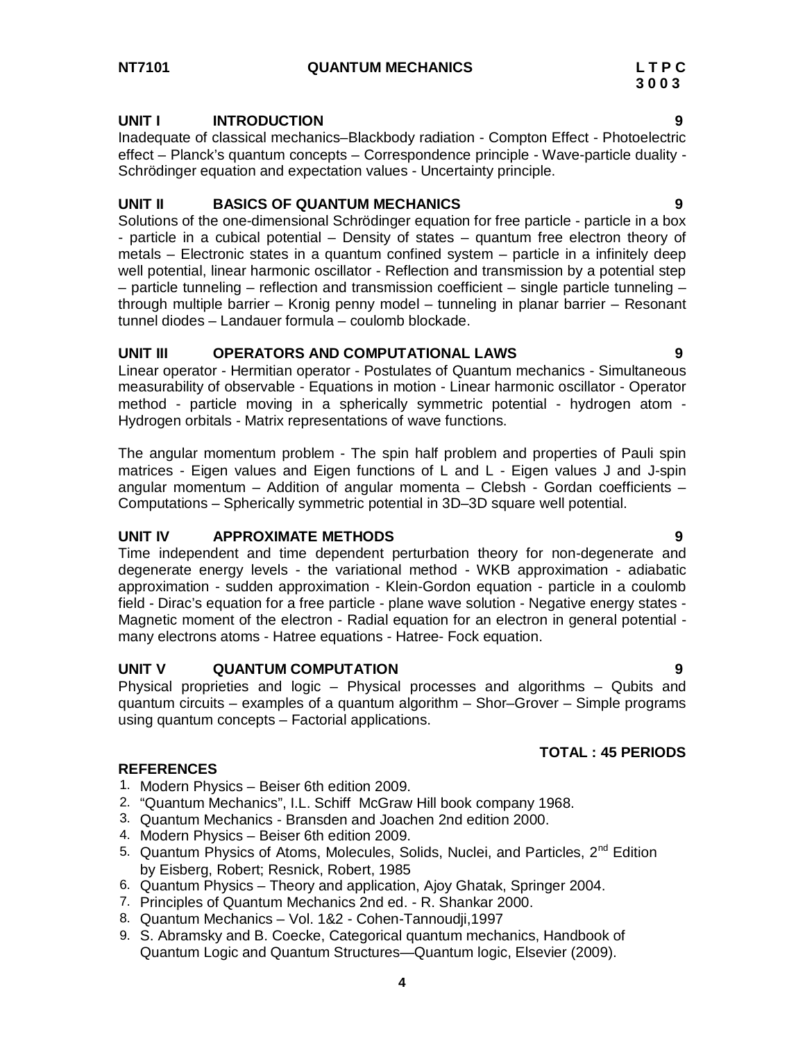# **NT7101 QUANTUM MECHANICS L T P C**

# **UNIT I INTRODUCTION 9**

Inadequate of classical mechanics–Blackbody radiation - Compton Effect - Photoelectric effect – Planck's quantum concepts – Correspondence principle - Wave-particle duality - Schrödinger equation and expectation values - Uncertainty principle.

# **UNIT II BASICS OF QUANTUM MECHANICS 9**

Solutions of the one-dimensional Schrödinger equation for free particle - particle in a box - particle in a cubical potential – Density of states – quantum free electron theory of metals – Electronic states in a quantum confined system – particle in a infinitely deep well potential, linear harmonic oscillator - Reflection and transmission by a potential step – particle tunneling – reflection and transmission coefficient – single particle tunneling – through multiple barrier – Kronig penny model – tunneling in planar barrier – Resonant tunnel diodes – Landauer formula – coulomb blockade.

# **UNIT III OPERATORS AND COMPUTATIONAL LAWS 9**

Linear operator - Hermitian operator - Postulates of Quantum mechanics - Simultaneous measurability of observable - Equations in motion - Linear harmonic oscillator - Operator method - particle moving in a spherically symmetric potential - hydrogen atom - Hydrogen orbitals - Matrix representations of wave functions.

The angular momentum problem - The spin half problem and properties of Pauli spin matrices - Eigen values and Eigen functions of L and L - Eigen values J and J-spin angular momentum – Addition of angular momenta – Clebsh - Gordan coefficients – Computations – Spherically symmetric potential in 3D–3D square well potential.

# **UNIT IV APPROXIMATE METHODS 9**

Time independent and time dependent perturbation theory for non-degenerate and degenerate energy levels - the variational method - WKB approximation - adiabatic approximation - sudden approximation - Klein-Gordon equation - particle in a coulomb field - Dirac's equation for a free particle - plane wave solution - Negative energy states - Magnetic moment of the electron - Radial equation for an electron in general potential many electrons atoms - Hatree equations - Hatree- Fock equation.

# **UNIT V QUANTUM COMPUTATION 9**

Physical proprieties and logic – Physical processes and algorithms – Qubits and quantum circuits – examples of a quantum algorithm – Shor–Grover – Simple programs using quantum concepts – Factorial applications.

# **TOTAL : 45 PERIODS**

- 1. Modern Physics Beiser 6th edition 2009.
- 2. "Quantum Mechanics", I.L. Schiff McGraw Hill book company 1968.
- 3. Quantum Mechanics Bransden and Joachen 2nd edition 2000.
- 4. Modern Physics Beiser 6th edition 2009.
- 5. Quantum Physics of Atoms, Molecules, Solids, Nuclei, and Particles, 2<sup>nd</sup> Edition by Eisberg, Robert; Resnick, Robert, 1985
- 6. Quantum Physics Theory and application, Ajoy Ghatak, Springer 2004.
- 7. Principles of Quantum Mechanics 2nd ed. R. Shankar 2000.
- 8. Quantum Mechanics Vol. 1&2 Cohen-Tannoudji,1997
- 9. S. Abramsky and B. Coecke, Categorical quantum mechanics, Handbook of Quantum Logic and Quantum Structures—Quantum logic, Elsevier (2009).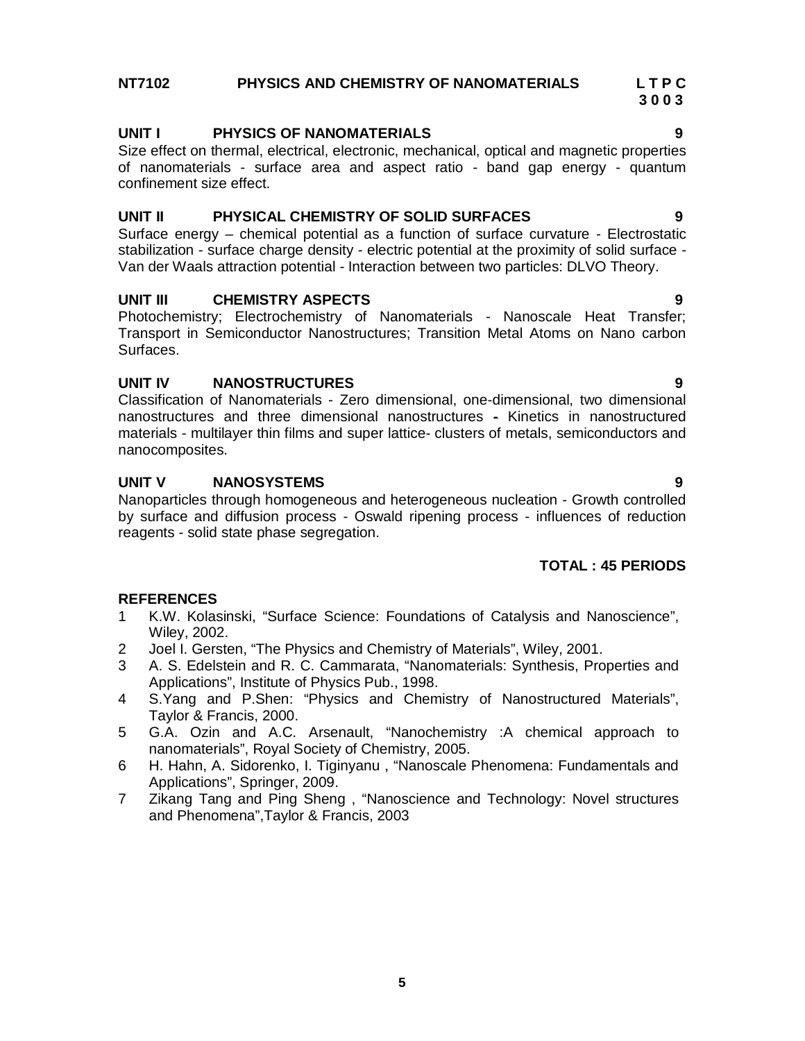# **NT7102 PHYSICS AND CHEMISTRY OF NANOMATERIALS L T P C**

# **UNIT I PHYSICS OF NANOMATERIALS 9**

Size effect on thermal, electrical, electronic, mechanical, optical and magnetic properties of nanomaterials - surface area and aspect ratio - band gap energy - quantum confinement size effect.

# **UNIT II PHYSICAL CHEMISTRY OF SOLID SURFACES 9**

Surface energy – chemical potential as a function of surface curvature - Electrostatic stabilization - surface charge density - electric potential at the proximity of solid surface - Van der Waals attraction potential - Interaction between two particles: DLVO Theory.

# **UNIT III CHEMISTRY ASPECTS 9**

Photochemistry; Electrochemistry of Nanomaterials - Nanoscale Heat Transfer; Transport in Semiconductor Nanostructures; Transition Metal Atoms on Nano carbon Surfaces.

# **UNIT IV NANOSTRUCTURES 9**

Classification of Nanomaterials - Zero dimensional, one-dimensional, two dimensional nanostructures and three dimensional nanostructures - Kinetics in nanostructured materials - multilayer thin films and super lattice- clusters of metals, semiconductors and nanocomposites.

# **UNIT V NANOSYSTEMS 9**

Nanoparticles through homogeneous and heterogeneous nucleation - Growth controlled by surface and diffusion process - Oswald ripening process - influences of reduction reagents - solid state phase segregation.

# **TOTAL : 45 PERIODS**

- 1 K.W. Kolasinski, "Surface Science: Foundations of Catalysis and Nanoscience", Wiley, 2002.
- 2 Joel I. Gersten, "The Physics and Chemistry of Materials", Wiley, 2001.
- 3 A. S. Edelstein and R. C. Cammarata, "Nanomaterials: Synthesis, Properties and Applications", Institute of Physics Pub., 1998.
- 4 S.Yang and P.Shen: "Physics and Chemistry of Nanostructured Materials", Taylor & Francis, 2000.
- 5 G.A. Ozin and A.C. Arsenault, "Nanochemistry :A chemical approach to nanomaterials", Royal Society of Chemistry, 2005.
- 6 H. Hahn, A. Sidorenko, I. Tiginyanu , "Nanoscale Phenomena: Fundamentals and Applications", Springer, 2009.
- 7 Zikang Tang and Ping Sheng , "Nanoscience and Technology: Novel structures and Phenomena",Taylor & Francis, 2003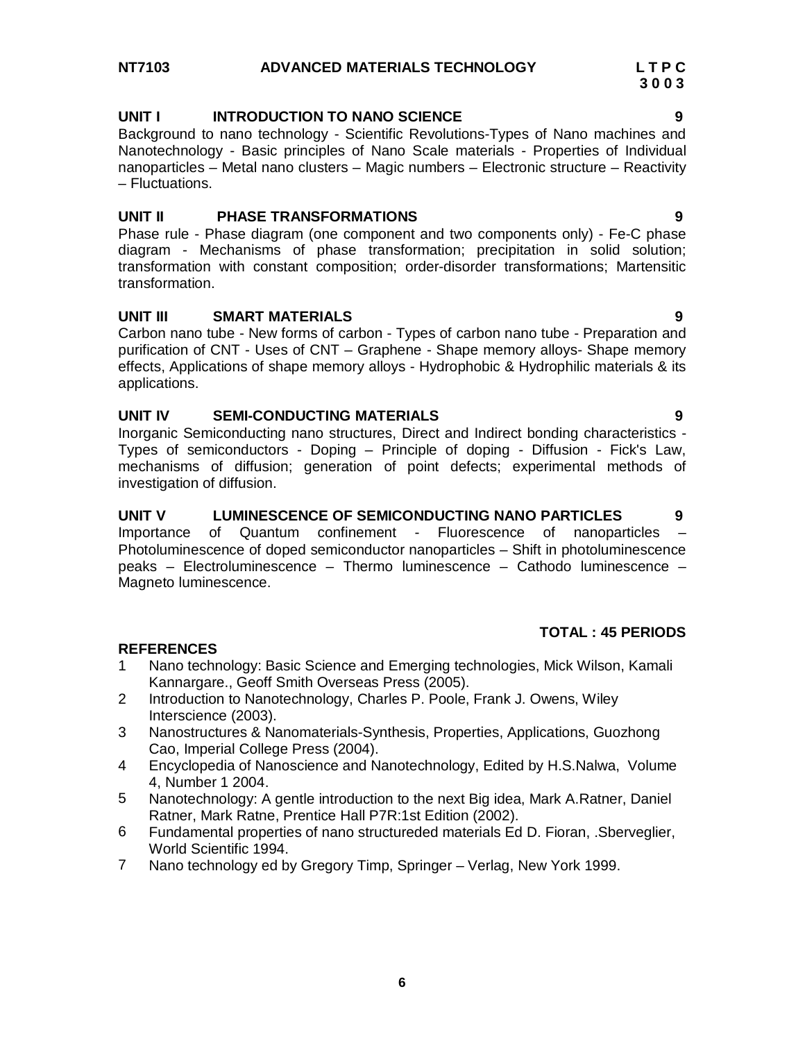# **NT7103 ADVANCED MATERIALS TECHNOLOGY L T P C**

# **UNIT I INTRODUCTION TO NANO SCIENCE 9**

Background to nano technology - Scientific Revolutions-Types of Nano machines and Nanotechnology - Basic principles of Nano Scale materials - Properties of Individual nanoparticles – Metal nano clusters – Magic numbers – Electronic structure – Reactivity – Fluctuations.

# **UNIT II PHASE TRANSFORMATIONS 9**

Phase rule - Phase diagram (one component and two components only) - Fe-C phase diagram - Mechanisms of phase transformation; precipitation in solid solution; transformation with constant composition; order-disorder transformations; Martensitic transformation.

# **UNIT III SMART MATERIALS 9**

Carbon nano tube - New forms of carbon - Types of carbon nano tube - Preparation and purification of CNT - Uses of CNT – Graphene - Shape memory alloys- Shape memory effects, Applications of shape memory alloys - Hydrophobic & Hydrophilic materials & its applications.

# **UNIT IV SEMI-CONDUCTING MATERIALS 9**

Inorganic Semiconducting nano structures, Direct and Indirect bonding characteristics - Types of semiconductors - Doping – Principle of doping - Diffusion - Fick's Law, mechanisms of diffusion; generation of point defects; experimental methods of investigation of diffusion.

# **UNIT V LUMINESCENCE OF SEMICONDUCTING NANO PARTICLES 9**

Importance of Quantum confinement - Fluorescence of nanoparticles – Photoluminescence of doped semiconductor nanoparticles – Shift in photoluminescence peaks – Electroluminescence – Thermo luminescence – Cathodo luminescence – Magneto luminescence.

# **TOTAL : 45 PERIODS**

- 1 Nano technology: Basic Science and Emerging technologies, Mick Wilson, Kamali Kannargare., Geoff Smith Overseas Press (2005).
- 2 Introduction to Nanotechnology, Charles P. Poole, Frank J. Owens, Wiley Interscience (2003).
- 3 Nanostructures & Nanomaterials-Synthesis, Properties, Applications, Guozhong Cao, Imperial College Press (2004).
- 4 Encyclopedia of Nanoscience and Nanotechnology, Edited by H.S.Nalwa, Volume 4, Number 1 2004.
- 5 Nanotechnology: A gentle introduction to the next Big idea, Mark A.Ratner, Daniel Ratner, Mark Ratne, Prentice Hall P7R:1st Edition (2002).
- 6 Fundamental properties of nano structureded materials Ed D. Fioran, .Sberveglier, World Scientific 1994.
- 7 Nano technology ed by Gregory Timp, Springer Verlag, New York 1999.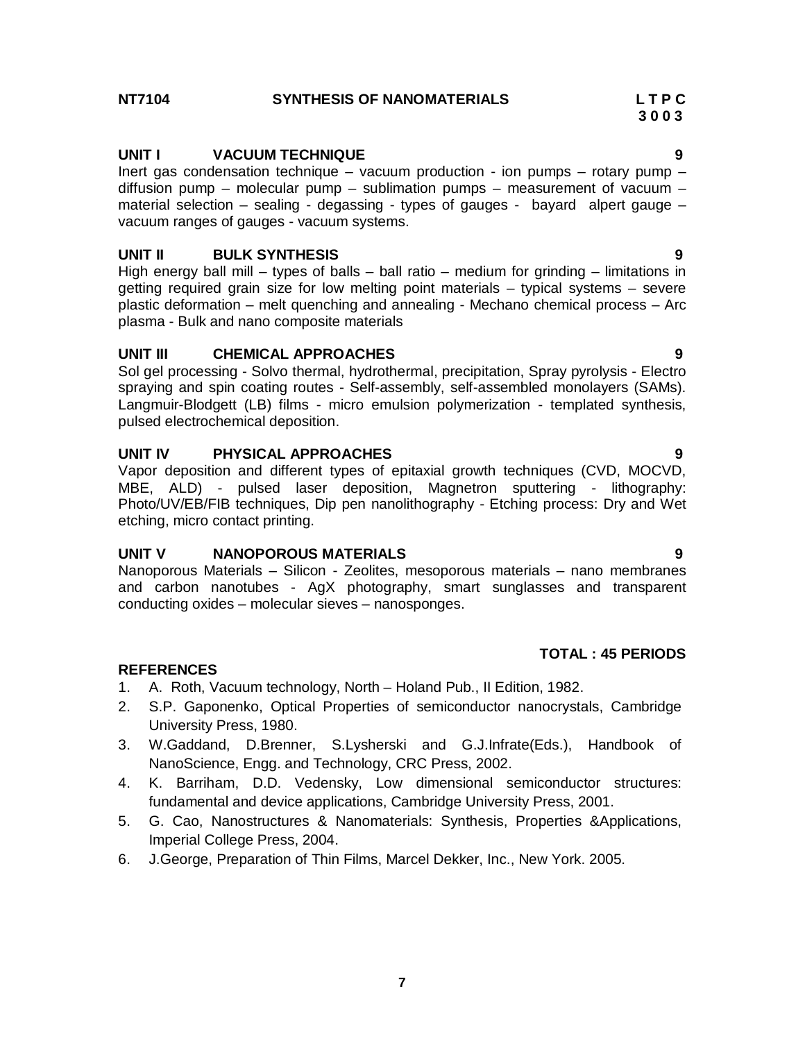# **NT7104 SYNTHESIS OF NANOMATERIALS L T P C**

# **UNIT I VACUUM TECHNIQUE 9**

Inert gas condensation technique – vacuum production - ion pumps – rotary pump – diffusion pump – molecular pump – sublimation pumps – measurement of vacuum – material selection – sealing - degassing - types of gauges - bayard alpert gauge – vacuum ranges of gauges - vacuum systems.

 **3 0 0 3**

# **UNIT II BULK SYNTHESIS 9**

High energy ball mill – types of balls – ball ratio – medium for grinding – limitations in getting required grain size for low melting point materials – typical systems – severe plastic deformation – melt quenching and annealing - Mechano chemical process – Arc plasma - Bulk and nano composite materials

# **UNIT III CHEMICAL APPROACHES 9**

Sol gel processing - Solvo thermal, hydrothermal, precipitation, Spray pyrolysis - Electro spraying and spin coating routes - Self-assembly, self-assembled monolayers (SAMs). Langmuir-Blodgett (LB) films - micro emulsion polymerization - templated synthesis, pulsed electrochemical deposition.

# **UNIT IV PHYSICAL APPROACHES 9**

Vapor deposition and different types of epitaxial growth techniques (CVD, MOCVD, MBE, ALD) - pulsed laser deposition, Magnetron sputtering - lithography: Photo/UV/EB/FIB techniques, Dip pen nanolithography - Etching process: Dry and Wet etching, micro contact printing.

# **UNIT V NANOPOROUS MATERIALS 9**

Nanoporous Materials – Silicon - Zeolites, mesoporous materials – nano membranes and carbon nanotubes - AgX photography, smart sunglasses and transparent conducting oxides – molecular sieves – nanosponges.

# **REFERENCES**

- 1. A. Roth, Vacuum technology, North Holand Pub., II Edition, 1982.
- 2. S.P. Gaponenko, Optical Properties of semiconductor nanocrystals, Cambridge University Press, 1980.
- 3. W.Gaddand, D.Brenner, S.Lysherski and G.J.Infrate(Eds.), Handbook of NanoScience, Engg. and Technology, CRC Press, 2002.
- 4. K. Barriham, D.D. Vedensky, Low dimensional semiconductor structures: fundamental and device applications, Cambridge University Press, 2001.
- 5. G. Cao, Nanostructures & Nanomaterials: Synthesis, Properties &Applications, Imperial College Press, 2004.
- 6. J.George, Preparation of Thin Films, Marcel Dekker, Inc., New York. 2005.

**TOTAL : 45 PERIODS**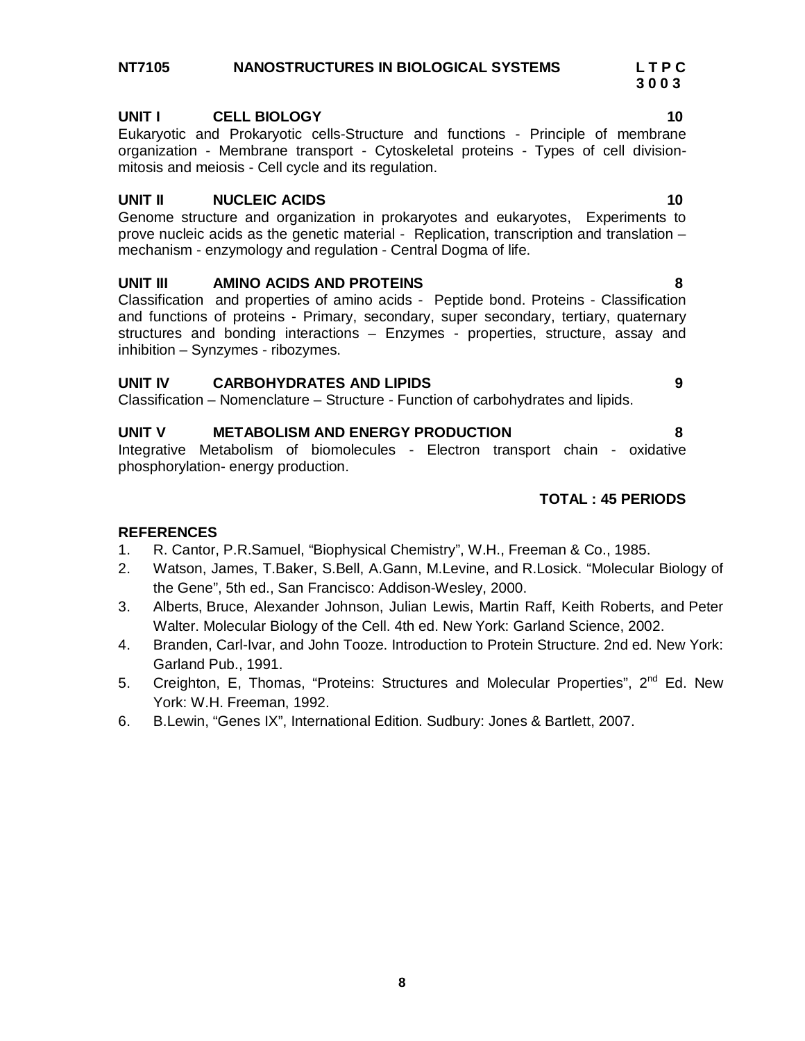# **NT7105 NANOSTRUCTURES IN BIOLOGICAL SYSTEMS L T P C**

# **UNIT I CELL BIOLOGY 10**

Eukaryotic and Prokaryotic cells-Structure and functions - Principle of membrane organization - Membrane transport - Cytoskeletal proteins - Types of cell divisionmitosis and meiosis - Cell cycle and its regulation.

# **UNIT II NUCLEIC ACIDS 10**

Genome structure and organization in prokaryotes and eukaryotes, Experiments to prove nucleic acids as the genetic material - Replication, transcription and translation – mechanism - enzymology and regulation - Central Dogma of life.

# **UNIT III AMINO ACIDS AND PROTEINS 8**

Classification and properties of amino acids - Peptide bond. Proteins - Classification and functions of proteins - Primary, secondary, super secondary, tertiary, quaternary structures and bonding interactions – Enzymes - properties, structure, assay and inhibition – Synzymes - ribozymes.

# **UNIT IV CARBOHYDRATES AND LIPIDS 9**

Classification – Nomenclature – Structure - Function of carbohydrates and lipids.

# **UNIT V METABOLISM AND ENERGY PRODUCTION 8**

Integrative Metabolism of biomolecules - Electron transport chain - oxidative phosphorylation- energy production.

# **TOTAL : 45 PERIODS**

# **REFERENCES**

- 1. R. Cantor, P.R.Samuel, "Biophysical Chemistry", W.H., Freeman & Co., 1985.
- 2. Watson, James, T.Baker, S.Bell, A.Gann, M.Levine, and R.Losick. "Molecular Biology of the Gene", 5th ed., San Francisco: Addison-Wesley, 2000.
- 3. Alberts, Bruce, Alexander Johnson, Julian Lewis, Martin Raff, Keith Roberts, and Peter Walter. Molecular Biology of the Cell. 4th ed. New York: Garland Science, 2002.
- 4. Branden, Carl-Ivar, and John Tooze. Introduction to Protein Structure. 2nd ed. New York: Garland Pub., 1991.
- 5. Creighton, E, Thomas, "Proteins: Structures and Molecular Properties", 2<sup>nd</sup> Ed. New York: W.H. Freeman, 1992.
- 6. B.Lewin, "Genes IX", International Edition. Sudbury: Jones & Bartlett, 2007.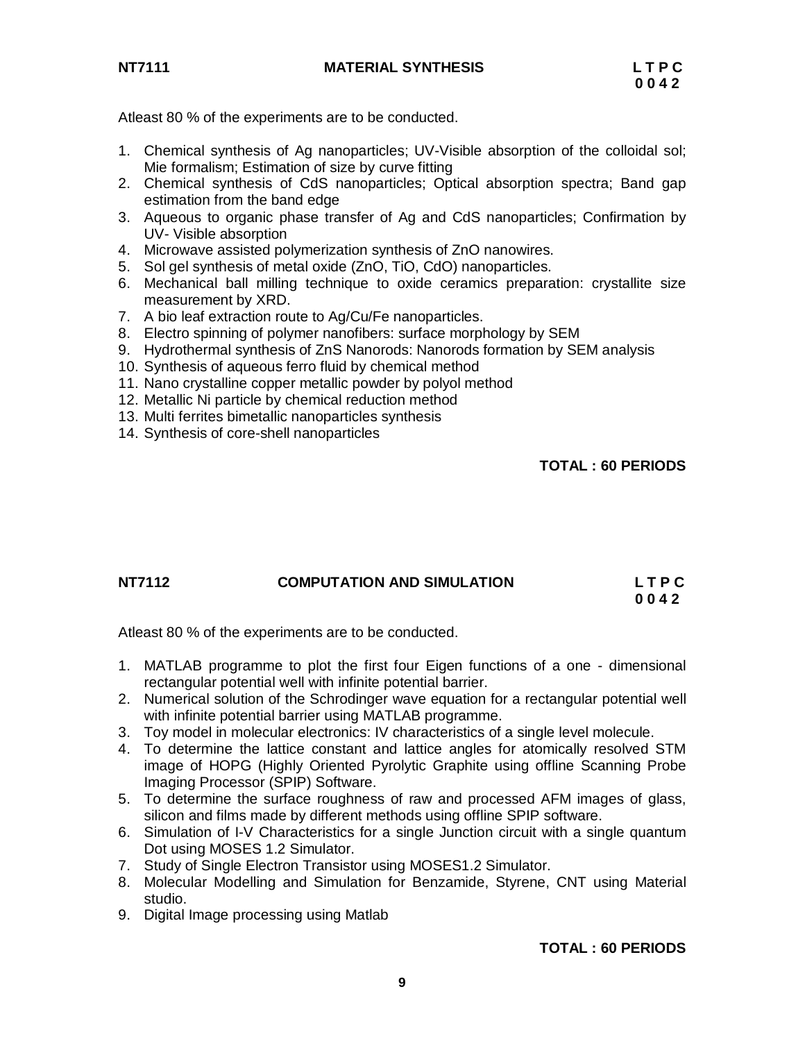

Atleast 80 % of the experiments are to be conducted.

- 1. Chemical synthesis of Ag nanoparticles; UV-Visible absorption of the colloidal sol; Mie formalism; Estimation of size by curve fitting
- 2. Chemical synthesis of CdS nanoparticles; Optical absorption spectra; Band gap estimation from the band edge
- 3. Aqueous to organic phase transfer of Ag and CdS nanoparticles; Confirmation by UV- Visible absorption
- 4. Microwave assisted polymerization synthesis of ZnO nanowires.
- 5. Sol gel synthesis of metal oxide (ZnO, TiO, CdO) nanoparticles.
- 6. Mechanical ball milling technique to oxide ceramics preparation: crystallite size measurement by XRD.
- 7. A bio leaf extraction route to Ag/Cu/Fe nanoparticles.
- 8. Electro spinning of polymer nanofibers: surface morphology by SEM
- 9. Hydrothermal synthesis of ZnS Nanorods: Nanorods formation by SEM analysis
- 10. Synthesis of aqueous ferro fluid by chemical method
- 11. Nano crystalline copper metallic powder by polyol method
- 12. Metallic Ni particle by chemical reduction method
- 13. Multi ferrites bimetallic nanoparticles synthesis
- 14. Synthesis of core-shell nanoparticles

**TOTAL : 60 PERIODS**

# **NT7112 COMPUTATION AND SIMULATION L T P C 0 0 4 2**

Atleast 80 % of the experiments are to be conducted.

- 1. MATLAB programme to plot the first four Eigen functions of a one dimensional rectangular potential well with infinite potential barrier.
- 2. Numerical solution of the Schrodinger wave equation for a rectangular potential well with infinite potential barrier using MATLAB programme.
- 3. Toy model in molecular electronics: IV characteristics of a single level molecule.
- 4. To determine the lattice constant and lattice angles for atomically resolved STM image of HOPG (Highly Oriented Pyrolytic Graphite using offline Scanning Probe Imaging Processor (SPIP) Software.
- 5. To determine the surface roughness of raw and processed AFM images of glass, silicon and films made by different methods using offline SPIP software.
- 6. Simulation of I-V Characteristics for a single Junction circuit with a single quantum Dot using MOSES 1.2 Simulator.
- 7. Study of Single Electron Transistor using MOSES1.2 Simulator.
- 8. Molecular Modelling and Simulation for Benzamide, Styrene, CNT using Material studio.
- 9. Digital Image processing using Matlab

# **TOTAL : 60 PERIODS**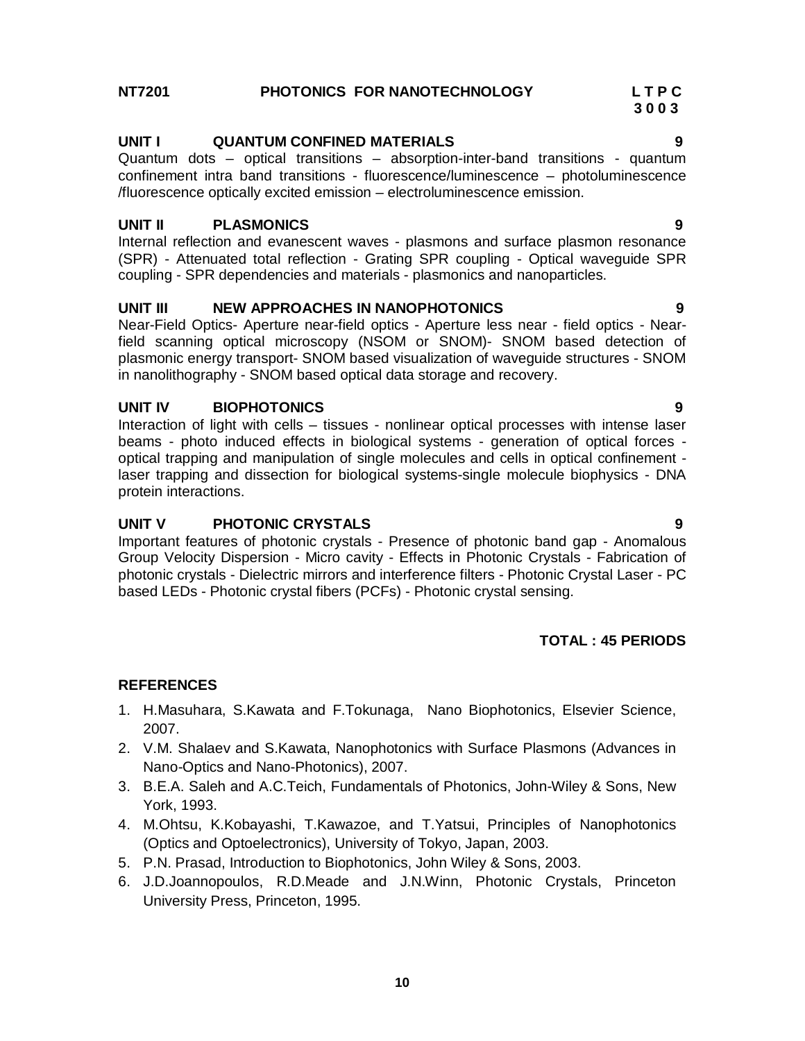# **NT7201 PHOTONICS FOR NANOTECHNOLOGY L T P C**

# **UNIT I QUANTUM CONFINED MATERIALS 9**

Quantum dots – optical transitions – absorption-inter-band transitions - quantum confinement intra band transitions - fluorescence/luminescence – photoluminescence /fluorescence optically excited emission – electroluminescence emission.

# **UNIT II PLASMONICS 9**

Internal reflection and evanescent waves - plasmons and surface plasmon resonance (SPR) - Attenuated total reflection - Grating SPR coupling - Optical waveguide SPR coupling - SPR dependencies and materials - plasmonics and nanoparticles.

# **UNIT III NEW APPROACHES IN NANOPHOTONICS 9**

Near-Field Optics- Aperture near-field optics - Aperture less near - field optics - Nearfield scanning optical microscopy (NSOM or SNOM)- SNOM based detection of plasmonic energy transport- SNOM based visualization of waveguide structures - SNOM in nanolithography - SNOM based optical data storage and recovery.

# **UNIT IV BIOPHOTONICS 9**

Interaction of light with cells – tissues - nonlinear optical processes with intense laser beams - photo induced effects in biological systems - generation of optical forces optical trapping and manipulation of single molecules and cells in optical confinement laser trapping and dissection for biological systems-single molecule biophysics - DNA protein interactions.

# **UNIT V PHOTONIC CRYSTALS 9**

Important features of photonic crystals - Presence of photonic band gap - Anomalous Group Velocity Dispersion - Micro cavity - Effects in Photonic Crystals - Fabrication of photonic crystals - Dielectric mirrors and interference filters - Photonic Crystal Laser - PC based LEDs - Photonic crystal fibers (PCFs) - Photonic crystal sensing.

# **TOTAL : 45 PERIODS**

# **REFERENCES**

- 1. H.Masuhara, S.Kawata and F.Tokunaga, Nano Biophotonics, Elsevier Science, 2007.
- 2. V.M. Shalaev and S.Kawata, Nanophotonics with Surface Plasmons (Advances in Nano-Optics and Nano-Photonics), 2007.
- 3. B.E.A. Saleh and A.C.Teich, Fundamentals of Photonics, John-Wiley & Sons, New York, 1993.
- 4. M.Ohtsu, K.Kobayashi, T.Kawazoe, and T.Yatsui, Principles of Nanophotonics (Optics and Optoelectronics), University of Tokyo, Japan, 2003.
- 5. P.N. Prasad, Introduction to Biophotonics, John Wiley & Sons, 2003.
- 6. J.D.Joannopoulos, R.D.Meade and J.N.Winn, Photonic Crystals, Princeton University Press, Princeton, 1995.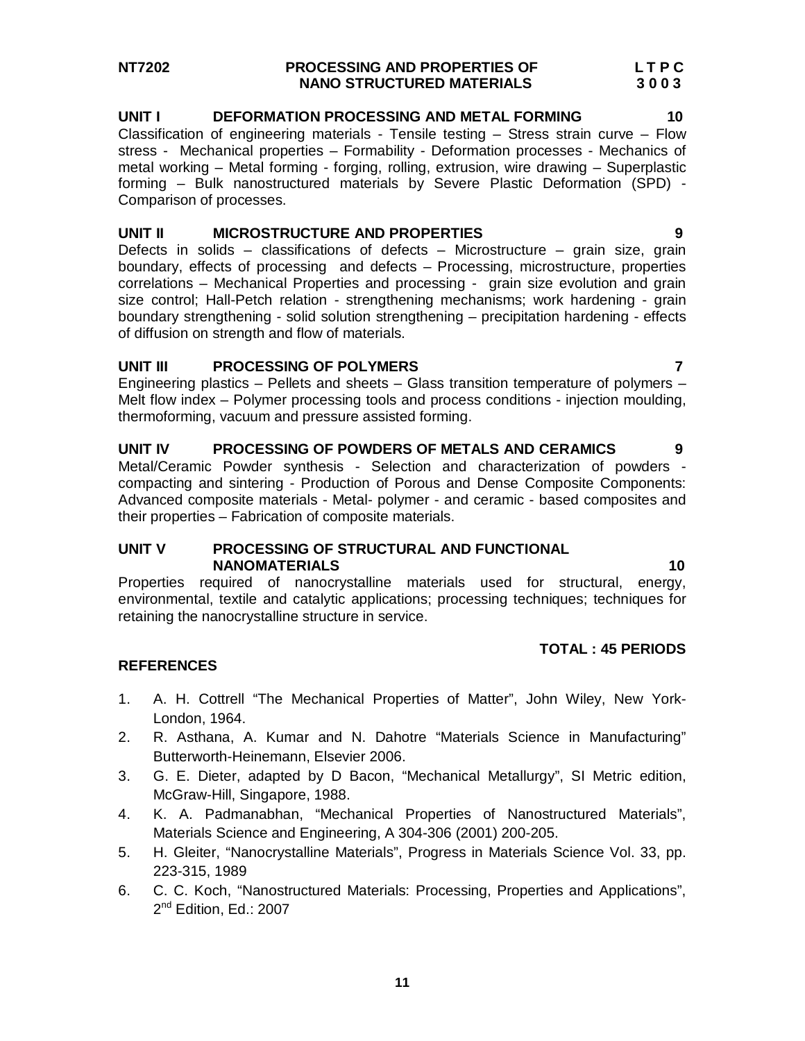# **NT7202 PROCESSING AND PROPERTIES OF L T P C NANO STRUCTURED MATERIALS 3 0 0 3**

## **UNIT I DEFORMATION PROCESSING AND METAL FORMING 10**

Classification of engineering materials - Tensile testing – Stress strain curve – Flow stress - Mechanical properties – Formability - Deformation processes - Mechanics of metal working – Metal forming - forging, rolling, extrusion, wire drawing – Superplastic forming – Bulk nanostructured materials by Severe Plastic Deformation (SPD) - Comparison of processes.

# **UNIT II MICROSTRUCTURE AND PROPERTIES 9**

Defects in solids – classifications of defects – Microstructure – grain size, grain boundary, effects of processing and defects – Processing, microstructure, properties correlations – Mechanical Properties and processing - grain size evolution and grain size control; Hall-Petch relation - strengthening mechanisms; work hardening - grain boundary strengthening - solid solution strengthening – precipitation hardening - effects of diffusion on strength and flow of materials.

# **UNIT III PROCESSING OF POLYMERS 7**

Engineering plastics – Pellets and sheets – Glass transition temperature of polymers – Melt flow index – Polymer processing tools and process conditions - injection moulding, thermoforming, vacuum and pressure assisted forming.

**UNIT IV PROCESSING OF POWDERS OF METALS AND CERAMICS 9**  Metal/Ceramic Powder synthesis - Selection and characterization of powders compacting and sintering - Production of Porous and Dense Composite Components: Advanced composite materials - Metal- polymer - and ceramic - based composites and their properties – Fabrication of composite materials.

# **UNIT V PROCESSING OF STRUCTURAL AND FUNCTIONAL NANOMATERIALS 10**

Properties required of nanocrystalline materials used for structural, energy, environmental, textile and catalytic applications; processing techniques; techniques for retaining the nanocrystalline structure in service.

# **TOTAL : 45 PERIODS**

- 1. A. H. Cottrell "The Mechanical Properties of Matter", John Wiley, New York-London, 1964.
- 2. R. Asthana, A. Kumar and N. Dahotre "Materials Science in Manufacturing" Butterworth-Heinemann, Elsevier 2006.
- 3. G. E. Dieter, adapted by D Bacon, "Mechanical Metallurgy", SI Metric edition, McGraw-Hill, Singapore, 1988.
- 4. K. A. Padmanabhan, "Mechanical Properties of Nanostructured Materials", Materials Science and Engineering, A 304-306 (2001) 200-205.
- 5. H. Gleiter, "Nanocrystalline Materials", Progress in Materials Science Vol. 33, pp. 223-315, 1989
- 6. C. C. Koch, "Nanostructured Materials: Processing, Properties and Applications", 2<sup>nd</sup> Edition, Ed.: 2007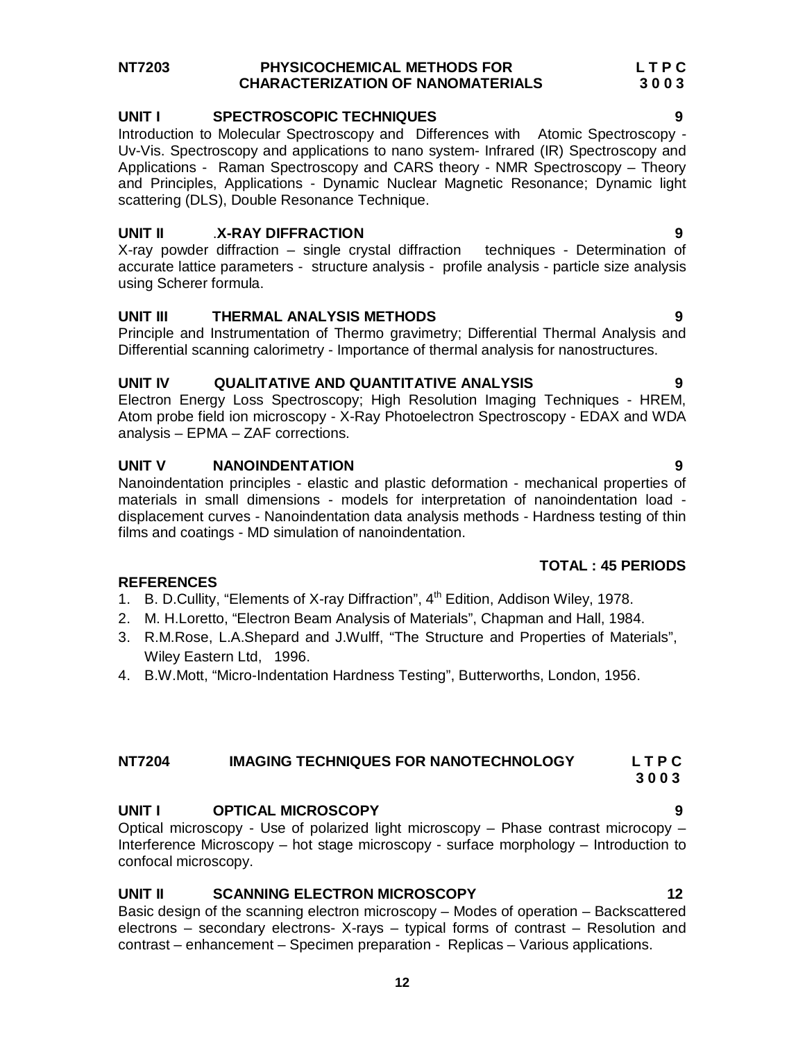# **NT7203 PHYSICOCHEMICAL METHODS FOR L T P C CHARACTERIZATION OF NANOMATERIALS 3 0 0 3**

# **UNIT I SPECTROSCOPIC TECHNIQUES 9**

Introduction to Molecular Spectroscopy and Differences with Atomic Spectroscopy - Uv-Vis. Spectroscopy and applications to nano system- Infrared (IR) Spectroscopy and Applications - Raman Spectroscopy and CARS theory - NMR Spectroscopy – Theory and Principles, Applications - Dynamic Nuclear Magnetic Resonance; Dynamic light scattering (DLS), Double Resonance Technique.

# **UNIT II** .**X-RAY DIFFRACTION 9**

X-ray powder diffraction – single crystal diffraction techniques - Determination of accurate lattice parameters - structure analysis - profile analysis - particle size analysis using Scherer formula.

# **UNIT III THERMAL ANALYSIS METHODS 9**

Principle and Instrumentation of Thermo gravimetry; Differential Thermal Analysis and Differential scanning calorimetry - Importance of thermal analysis for nanostructures.

# **UNIT IV QUALITATIVE AND QUANTITATIVE ANALYSIS 9**

Electron Energy Loss Spectroscopy; High Resolution Imaging Techniques - HREM, Atom probe field ion microscopy - X-Ray Photoelectron Spectroscopy - EDAX and WDA analysis – EPMA – ZAF corrections.

# **UNIT V NANOINDENTATION 9**

**REFERENCES**

Nanoindentation principles - elastic and plastic deformation - mechanical properties of materials in small dimensions - models for interpretation of nanoindentation load displacement curves - Nanoindentation data analysis methods - Hardness testing of thin films and coatings - MD simulation of nanoindentation.

# **TOTAL : 45 PERIODS**

# 1. B. D.Cullity, "Elements of X-ray Diffraction", 4<sup>th</sup> Edition, Addison Wiley, 1978.

- 2. M. H.Loretto, "Electron Beam Analysis of Materials", Chapman and Hall, 1984.
- 3. R.M.Rose, L.A.Shepard and J.Wulff, "The Structure and Properties of Materials", Wiley Eastern Ltd, 1996.
- 4. B.W.Mott, "Micro-Indentation Hardness Testing", Butterworths, London, 1956.

# **NT7204 IMAGING TECHNIQUES FOR NANOTECHNOLOGY L T P C**

# **UNIT I OPTICAL MICROSCOPY 9**

Optical microscopy - Use of polarized light microscopy – Phase contrast microcopy – Interference Microscopy – hot stage microscopy - surface morphology – Introduction to confocal microscopy.

# **UNIT II SCANNING ELECTRON MICROSCOPY 12**

Basic design of the scanning electron microscopy – Modes of operation – Backscattered electrons – secondary electrons- X-rays – typical forms of contrast – Resolution and contrast – enhancement – Specimen preparation - Replicas – Various applications.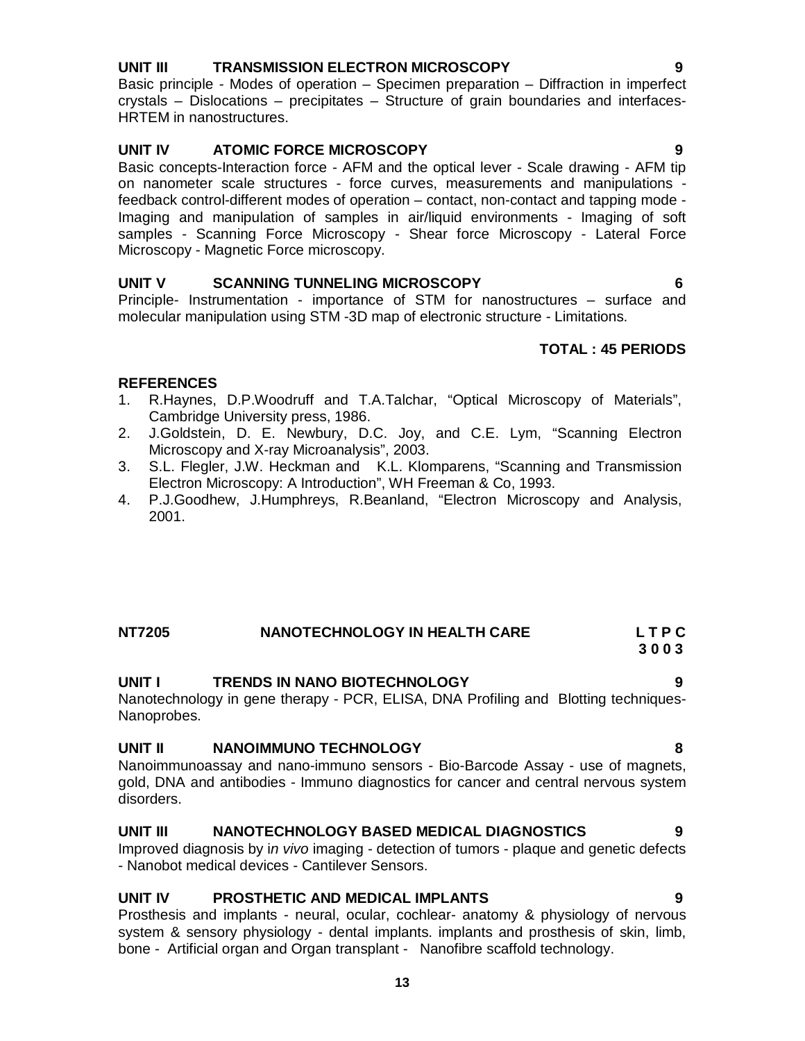# **UNIT III TRANSMISSION ELECTRON MICROSCOPY 9**

Basic principle - Modes of operation – Specimen preparation – Diffraction in imperfect crystals – Dislocations – precipitates – Structure of grain boundaries and interfaces-HRTEM in nanostructures.

# **UNIT IV ATOMIC FORCE MICROSCOPY 9**

Basic concepts-Interaction force - AFM and the optical lever - Scale drawing - AFM tip on nanometer scale structures - force curves, measurements and manipulations feedback control-different modes of operation – contact, non-contact and tapping mode - Imaging and manipulation of samples in air/liquid environments - Imaging of soft samples - Scanning Force Microscopy - Shear force Microscopy - Lateral Force Microscopy - Magnetic Force microscopy.

# **UNIT V SCANNING TUNNELING MICROSCOPY 6**

Principle- Instrumentation - importance of STM for nanostructures – surface and molecular manipulation using STM -3D map of electronic structure - Limitations.

# **TOTAL : 45 PERIODS**

# **REFERENCES**

- 1. R.Haynes, D.P.Woodruff and T.A.Talchar, "Optical Microscopy of Materials", Cambridge University press, 1986.
- 2. J.Goldstein, D. E. Newbury, D.C. Joy, and C.E. Lym, "Scanning Electron Microscopy and X-ray Microanalysis", 2003.
- 3. S.L. Flegler, J.W. Heckman and K.L. Klomparens, "Scanning and Transmission Electron Microscopy: A Introduction", WH Freeman & Co, 1993.
- 4. P.J.Goodhew, J.Humphreys, R.Beanland, "Electron Microscopy and Analysis, 2001.

# **NT7205 NANOTECHNOLOGY IN HEALTH CARE L T P C 3 0 0 3**

# **UNIT I TRENDS IN NANO BIOTECHNOLOGY 9**

Nanotechnology in gene therapy - PCR, ELISA, DNA Profiling and Blotting techniques-Nanoprobes.

# **UNIT II NANOIMMUNO TECHNOLOGY 8**

Nanoimmunoassay and nano-immuno sensors - Bio-Barcode Assay - use of magnets, gold, DNA and antibodies - Immuno diagnostics for cancer and central nervous system disorders.

# **UNIT III NANOTECHNOLOGY BASED MEDICAL DIAGNOSTICS 9**

Improved diagnosis by i*n vivo* imaging - detection of tumors - plaque and genetic defects - Nanobot medical devices - Cantilever Sensors.

# **UNIT IV PROSTHETIC AND MEDICAL IMPLANTS 9**

Prosthesis and implants - neural, ocular, cochlear- anatomy & physiology of nervous system & sensory physiology - dental implants. implants and prosthesis of skin, limb, bone - Artificial organ and Organ transplant - Nanofibre scaffold technology.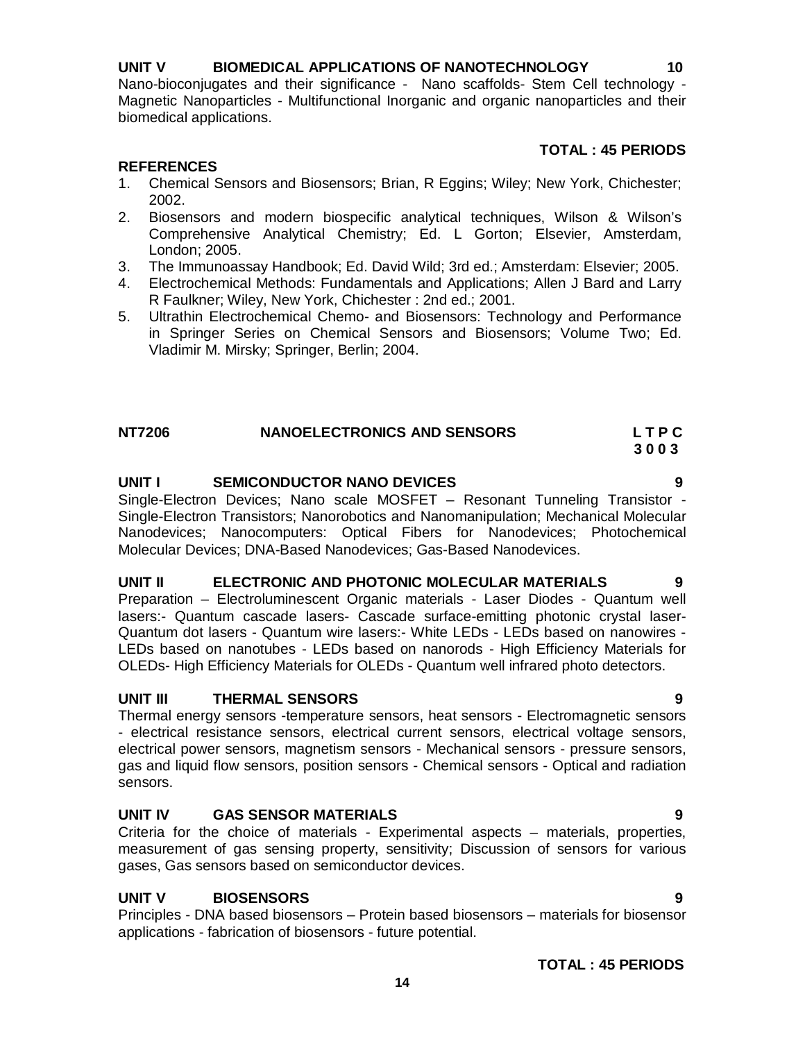# **UNIT V BIOMEDICAL APPLICATIONS OF NANOTECHNOLOGY 10**

Nano-bioconjugates and their significance - Nano scaffolds- Stem Cell technology - Magnetic Nanoparticles - Multifunctional Inorganic and organic nanoparticles and their biomedical applications.

# **TOTAL : 45 PERIODS**

# **REFERENCES**

- 1. Chemical Sensors and Biosensors; Brian, R Eggins; Wiley; New York, Chichester; 2002.
- 2. Biosensors and modern biospecific analytical techniques, Wilson & Wilson's Comprehensive Analytical Chemistry; Ed. L Gorton; Elsevier, Amsterdam, London; 2005.
- 3. The Immunoassay Handbook; Ed. David Wild; 3rd ed.; Amsterdam: Elsevier; 2005.
- 4. Electrochemical Methods: Fundamentals and Applications; Allen J Bard and Larry R Faulkner; Wiley, New York, Chichester : 2nd ed.; 2001.
- 5. Ultrathin Electrochemical Chemo- and Biosensors: Technology and Performance in Springer Series on Chemical Sensors and Biosensors; Volume Two; Ed. Vladimir M. Mirsky; Springer, Berlin; 2004.

| <b>NT7206</b> | <b>NANOELECTRONICS AND SENSORS</b> | LTPC |
|---------------|------------------------------------|------|
|               |                                    | 3003 |

# **UNIT I SEMICONDUCTOR NANO DEVICES 9**

Single-Electron Devices; Nano scale MOSFET – Resonant Tunneling Transistor - Single-Electron Transistors; Nanorobotics and Nanomanipulation; Mechanical Molecular Nanodevices; Nanocomputers: Optical Fibers for Nanodevices; Photochemical Molecular Devices; DNA-Based Nanodevices; Gas-Based Nanodevices.

# **UNIT II ELECTRONIC AND PHOTONIC MOLECULAR MATERIALS 9**

Preparation – Electroluminescent Organic materials - Laser Diodes - Quantum well lasers:- Quantum cascade lasers- Cascade surface-emitting photonic crystal laser-Quantum dot lasers - Quantum wire lasers:- White LEDs - LEDs based on nanowires - LEDs based on nanotubes - LEDs based on nanorods - High Efficiency Materials for OLEDs- High Efficiency Materials for OLEDs - Quantum well infrared photo detectors.

# **UNIT III THERMAL SENSORS 9**

Thermal energy sensors -temperature sensors, heat sensors - Electromagnetic sensors - electrical resistance sensors, electrical current sensors, electrical voltage sensors, electrical power sensors, magnetism sensors - Mechanical sensors - pressure sensors, gas and liquid flow sensors, position sensors - Chemical sensors - Optical and radiation sensors.

# **UNIT IV GAS SENSOR MATERIALS 9**

Criteria for the choice of materials - Experimental aspects – materials, properties, measurement of gas sensing property, sensitivity; Discussion of sensors for various gases, Gas sensors based on semiconductor devices.

# **UNIT V BIOSENSORS 9**

Principles - DNA based biosensors – Protein based biosensors – materials for biosensor applications - fabrication of biosensors - future potential.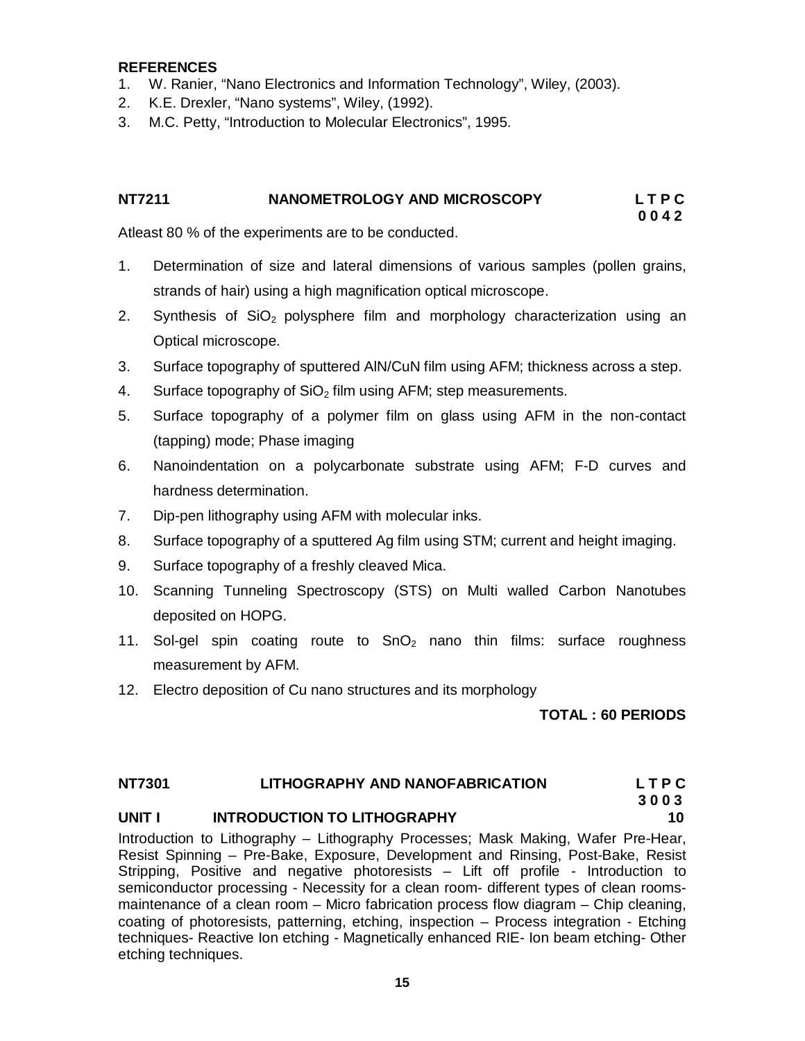# **REFERENCES**

- 1. W. Ranier, "Nano Electronics and Information Technology", Wiley, (2003).
- 2. K.E. Drexler, "Nano systems", Wiley, (1992).
- 3. M.C. Petty, "Introduction to Molecular Electronics", 1995.

# **NT7211 NANOMETROLOGY AND MICROSCOPY L T P C**

 **0 0 4 2**

Atleast 80 % of the experiments are to be conducted.

- 1. Determination of size and lateral dimensions of various samples (pollen grains, strands of hair) using a high magnification optical microscope.
- 2. Synthesis of  $SiO<sub>2</sub>$  polysphere film and morphology characterization using an Optical microscope.
- 3. Surface topography of sputtered AlN/CuN film using AFM; thickness across a step.
- 4. Surface topography of  $SiO<sub>2</sub>$  film using AFM; step measurements.
- 5. Surface topography of a polymer film on glass using AFM in the non-contact (tapping) mode; Phase imaging
- 6. Nanoindentation on a polycarbonate substrate using AFM; F-D curves and hardness determination.
- 7. Dip-pen lithography using AFM with molecular inks.
- 8. Surface topography of a sputtered Ag film using STM; current and height imaging.
- 9. Surface topography of a freshly cleaved Mica.
- 10. Scanning Tunneling Spectroscopy (STS) on Multi walled Carbon Nanotubes deposited on HOPG.
- 11. Sol-gel spin coating route to  $SnO<sub>2</sub>$  nano thin films: surface roughness measurement by AFM.
- 12. Electro deposition of Cu nano structures and its morphology

**TOTAL : 60 PERIODS** 

# **NT7301 LITHOGRAPHY AND NANOFABRICATION L T P C**

### **3 0 0 3 UNIT I INTRODUCTION TO LITHOGRAPHY 10**

Introduction to Lithography – Lithography Processes; Mask Making, Wafer Pre-Hear, Resist Spinning – Pre-Bake, Exposure, Development and Rinsing, Post-Bake, Resist Stripping, Positive and negative photoresists – Lift off profile - Introduction to semiconductor processing - Necessity for a clean room- different types of clean roomsmaintenance of a clean room – Micro fabrication process flow diagram – Chip cleaning, coating of photoresists, patterning, etching, inspection – Process integration - Etching techniques- Reactive Ion etching - Magnetically enhanced RIE- Ion beam etching- Other etching techniques.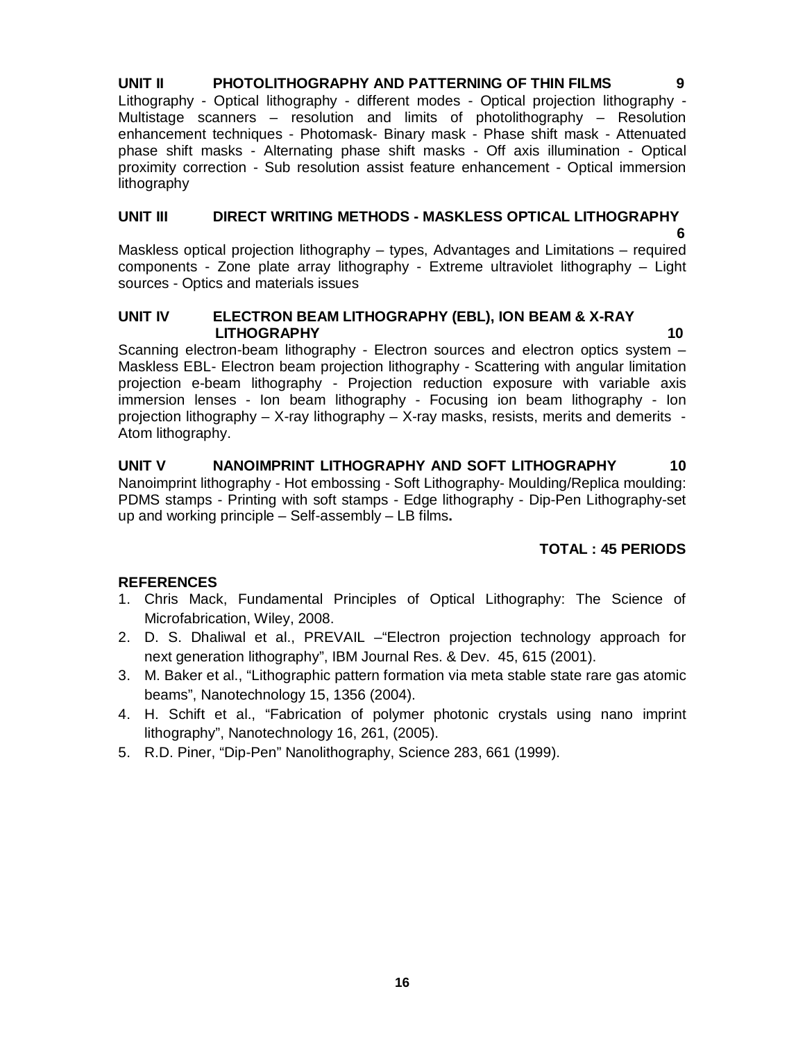**UNIT II PHOTOLITHOGRAPHY AND PATTERNING OF THIN FILMS 9** Lithography - Optical lithography - different modes - Optical projection lithography - Multistage scanners – resolution and limits of photolithography – Resolution enhancement techniques - Photomask- Binary mask - Phase shift mask - Attenuated phase shift masks - Alternating phase shift masks - Off axis illumination - Optical proximity correction - Sub resolution assist feature enhancement - Optical immersion lithography

# **UNIT III DIRECT WRITING METHODS - MASKLESS OPTICAL LITHOGRAPHY**

 **6**  Maskless optical projection lithography – types, Advantages and Limitations – required components - Zone plate array lithography - Extreme ultraviolet lithography – Light sources - Optics and materials issues

# **UNIT IV ELECTRON BEAM LITHOGRAPHY (EBL), ION BEAM & X-RAY LITHOGRAPHY 10**

Scanning electron-beam lithography - Electron sources and electron optics system – Maskless EBL- Electron beam projection lithography - Scattering with angular limitation projection e-beam lithography - Projection reduction exposure with variable axis immersion lenses - Ion beam lithography - Focusing ion beam lithography - Ion projection lithography – X-ray lithography – X-ray masks, resists, merits and demerits - Atom lithography.

**UNIT V NANOIMPRINT LITHOGRAPHY AND SOFT LITHOGRAPHY 10**  Nanoimprint lithography - Hot embossing - Soft Lithography- Moulding/Replica moulding: PDMS stamps - Printing with soft stamps - Edge lithography - Dip-Pen Lithography-set up and working principle – Self-assembly – LB films**.** 

# **TOTAL : 45 PERIODS**

- 1. Chris Mack, Fundamental Principles of Optical Lithography: The Science of Microfabrication, Wiley, 2008.
- 2. D. S. Dhaliwal et al., PREVAIL –"Electron projection technology approach for next generation lithography", IBM Journal Res. & Dev. 45, 615 (2001).
- 3. M. Baker et al., "Lithographic pattern formation via meta stable state rare gas atomic beams", Nanotechnology 15, 1356 (2004).
- 4. H. Schift et al., "Fabrication of polymer photonic crystals using nano imprint lithography", Nanotechnology 16, 261, (2005).
- 5. R.D. Piner, "Dip-Pen" Nanolithography, Science 283, 661 (1999).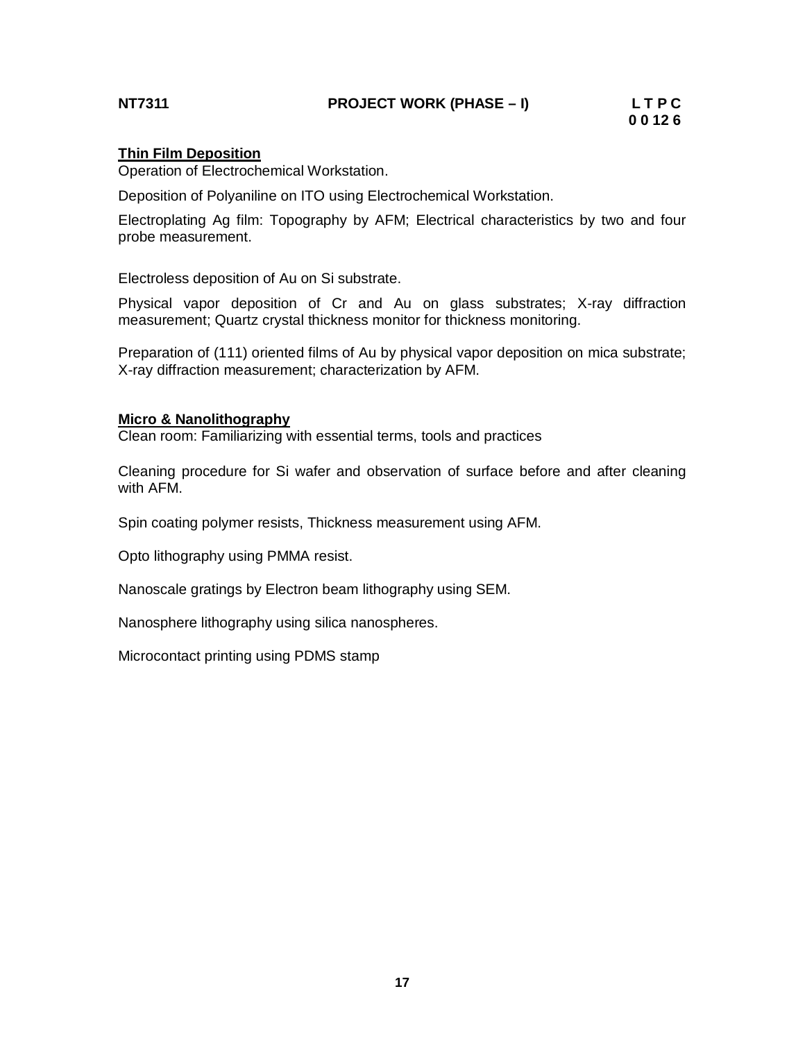# **NT7311 PROJECT WORK (PHASE – I) L T P C**

# **Thin Film Deposition**

Operation of Electrochemical Workstation.

Deposition of Polyaniline on ITO using Electrochemical Workstation.

Electroplating Ag film: Topography by AFM; Electrical characteristics by two and four probe measurement.

Electroless deposition of Au on Si substrate.

Physical vapor deposition of Cr and Au on glass substrates; X-ray diffraction measurement; Quartz crystal thickness monitor for thickness monitoring.

Preparation of (111) oriented films of Au by physical vapor deposition on mica substrate; X-ray diffraction measurement; characterization by AFM.

### **Micro & Nanolithography**

Clean room: Familiarizing with essential terms, tools and practices

Cleaning procedure for Si wafer and observation of surface before and after cleaning with AFM.

Spin coating polymer resists, Thickness measurement using AFM.

Opto lithography using PMMA resist.

Nanoscale gratings by Electron beam lithography using SEM.

Nanosphere lithography using silica nanospheres.

Microcontact printing using PDMS stamp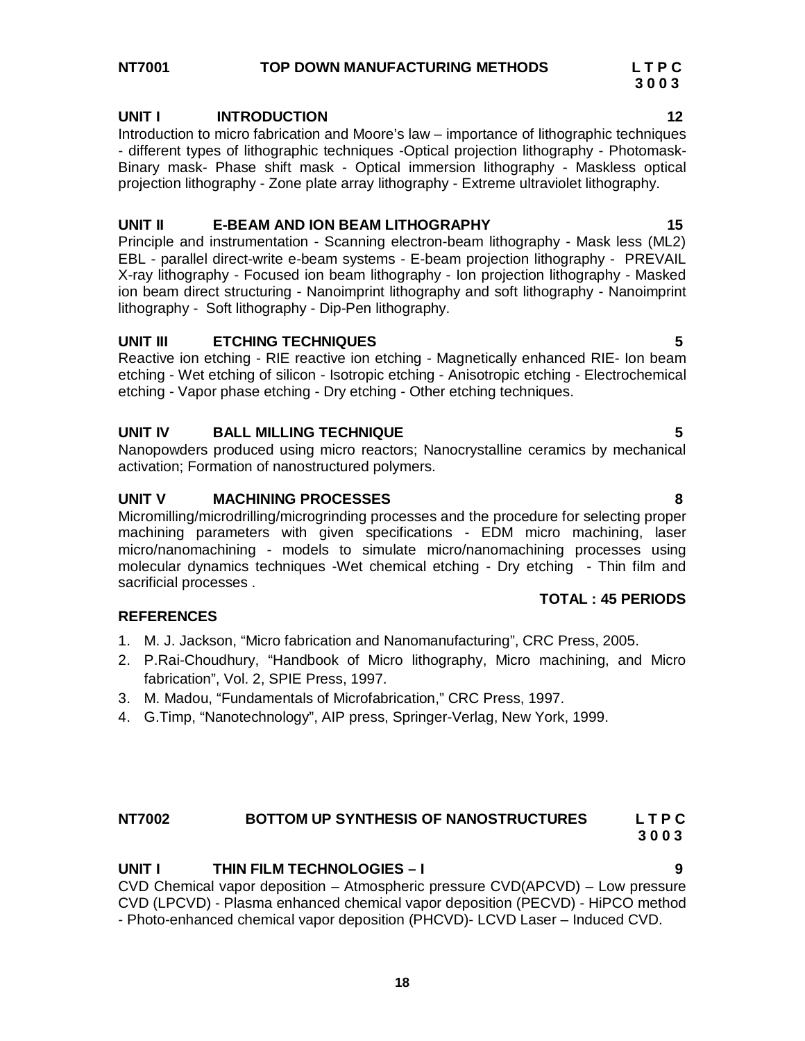# **UNIT I INTRODUCTION 12**

Introduction to micro fabrication and Moore's law – importance of lithographic techniques - different types of lithographic techniques -Optical projection lithography - Photomask-Binary mask- Phase shift mask - Optical immersion lithography - Maskless optical projection lithography - Zone plate array lithography - Extreme ultraviolet lithography.

# **UNIT II E-BEAM AND ION BEAM LITHOGRAPHY 15**

Principle and instrumentation - Scanning electron-beam lithography - Mask less (ML2) EBL - parallel direct-write e-beam systems - E-beam projection lithography - PREVAIL X-ray lithography - Focused ion beam lithography - Ion projection lithography - Masked ion beam direct structuring - Nanoimprint lithography and soft lithography - Nanoimprint lithography - Soft lithography - Dip-Pen lithography.

# **UNIT III ETCHING TECHNIQUES 5**

Reactive ion etching - RIE reactive ion etching - Magnetically enhanced RIE- Ion beam etching - Wet etching of silicon - Isotropic etching - Anisotropic etching - Electrochemical etching - Vapor phase etching - Dry etching - Other etching techniques.

# **UNIT IV BALL MILLING TECHNIQUE 5**

Nanopowders produced using micro reactors; Nanocrystalline ceramics by mechanical activation; Formation of nanostructured polymers.

# **UNIT V MACHINING PROCESSES 8**

Micromilling/microdrilling/microgrinding processes and the procedure for selecting proper machining parameters with given specifications - EDM micro machining, laser micro/nanomachining - models to simulate micro/nanomachining processes using molecular dynamics techniques -Wet chemical etching - Dry etching - Thin film and sacrificial processes .

# **REFERENCES**

- 1. M. J. Jackson, "Micro fabrication and Nanomanufacturing", CRC Press, 2005.
- 2. P.Rai-Choudhury, "Handbook of Micro lithography, Micro machining, and Micro fabrication", Vol. 2, SPIE Press, 1997.
- 3. M. Madou, "Fundamentals of Microfabrication," CRC Press, 1997.
- 4. G.Timp, "Nanotechnology", AIP press, Springer-Verlag, New York, 1999.

# **NT7002 BOTTOM UP SYNTHESIS OF NANOSTRUCTURES L T P C 3 0 0 3**

# **UNIT I THIN FILM TECHNOLOGIES – I 9** CVD Chemical vapor deposition – Atmospheric pressure CVD(APCVD) – Low pressure CVD (LPCVD) - Plasma enhanced chemical vapor deposition (PECVD) - HiPCO method

- Photo-enhanced chemical vapor deposition (PHCVD)- LCVD Laser – Induced CVD.

 **3 0 0 3**

 **TOTAL : 45 PERIODS**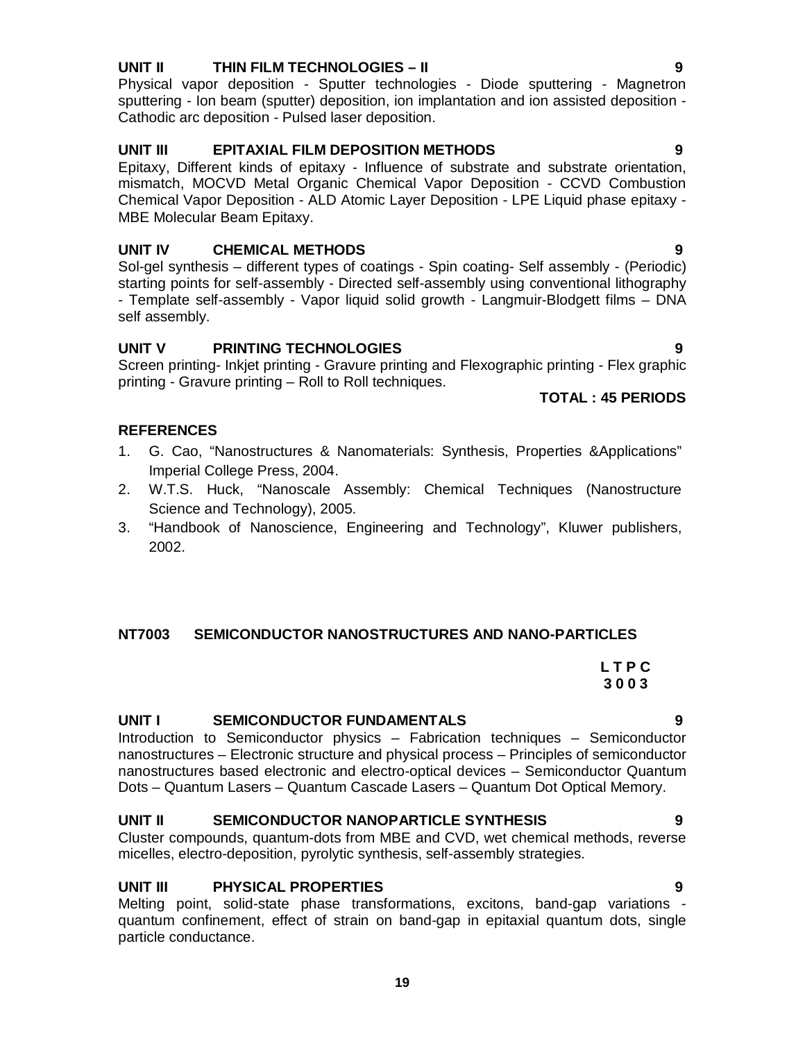# **UNIT II THIN FILM TECHNOLOGIES – II 9**

Physical vapor deposition - Sputter technologies - Diode sputtering - Magnetron sputtering - Ion beam (sputter) deposition, ion implantation and ion assisted deposition - Cathodic arc deposition - Pulsed laser deposition.

# **UNIT III EPITAXIAL FILM DEPOSITION METHODS 9**

Epitaxy, Different kinds of epitaxy - Influence of substrate and substrate orientation, mismatch, MOCVD Metal Organic Chemical Vapor Deposition - CCVD Combustion Chemical Vapor Deposition - ALD Atomic Layer Deposition - LPE Liquid phase epitaxy - MBE Molecular Beam Epitaxy.

# **UNIT IV CHEMICAL METHODS 9**

Sol-gel synthesis – different types of coatings - Spin coating- Self assembly - (Periodic) starting points for self-assembly - Directed self-assembly using conventional lithography - Template self-assembly - Vapor liquid solid growth - Langmuir-Blodgett films – DNA self assembly.

# **UNIT V PRINTING TECHNOLOGIES 9**

Screen printing- Inkjet printing - Gravure printing and Flexographic printing - Flex graphic printing - Gravure printing – Roll to Roll techniques.

# **TOTAL : 45 PERIODS**

# **REFERENCES**

- 1. G. Cao, "Nanostructures & Nanomaterials: Synthesis, Properties &Applications" Imperial College Press, 2004.
- 2. W.T.S. Huck, "Nanoscale Assembly: Chemical Techniques (Nanostructure Science and Technology), 2005.
- 3. "Handbook of Nanoscience, Engineering and Technology", Kluwer publishers, 2002.

# **NT7003 SEMICONDUCTOR NANOSTRUCTURES AND NANO-PARTICLES**

# **L T P C 3 0 0 3**

# **UNIT I SEMICONDUCTOR FUNDAMENTALS 9**

Introduction to Semiconductor physics – Fabrication techniques – Semiconductor nanostructures – Electronic structure and physical process – Principles of semiconductor nanostructures based electronic and electro-optical devices – Semiconductor Quantum Dots – Quantum Lasers – Quantum Cascade Lasers – Quantum Dot Optical Memory.

# **UNIT II SEMICONDUCTOR NANOPARTICLE SYNTHESIS 9**

Cluster compounds, quantum-dots from MBE and CVD, wet chemical methods, reverse micelles, electro-deposition, pyrolytic synthesis, self-assembly strategies.

# **UNIT III PHYSICAL PROPERTIES 9**

Melting point, solid-state phase transformations, excitons, band-gap variations quantum confinement, effect of strain on band-gap in epitaxial quantum dots, single particle conductance.

**19**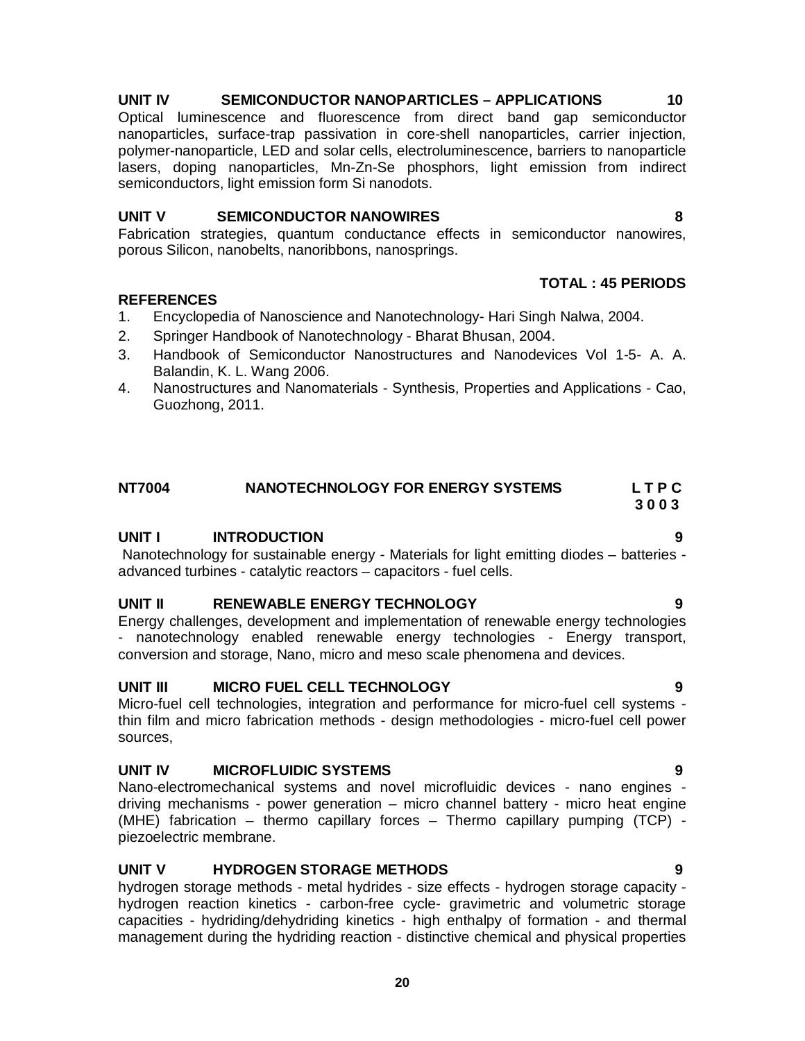# **UNIT IV SEMICONDUCTOR NANOPARTICLES – APPLICATIONS 10**

Optical luminescence and fluorescence from direct band gap semiconductor nanoparticles, surface-trap passivation in core-shell nanoparticles, carrier injection, polymer-nanoparticle, LED and solar cells, electroluminescence, barriers to nanoparticle lasers, doping nanoparticles, Mn-Zn-Se phosphors, light emission from indirect semiconductors, light emission form Si nanodots.

# **UNIT V SEMICONDUCTOR NANOWIRES 8**

Fabrication strategies, quantum conductance effects in semiconductor nanowires, porous Silicon, nanobelts, nanoribbons, nanosprings.

# **REFERENCES**

- 1. Encyclopedia of Nanoscience and Nanotechnology- Hari Singh Nalwa, 2004.
- 2. Springer Handbook of Nanotechnology Bharat Bhusan, 2004.
- 3. Handbook of Semiconductor Nanostructures and Nanodevices Vol 1-5- A. A. Balandin, K. L. Wang 2006.
- 4. Nanostructures and Nanomaterials Synthesis, Properties and Applications Cao, Guozhong, 2011.

# **NT7004 NANOTECHNOLOGY FOR ENERGY SYSTEMS L T P C**

 **3 0 0 3**

# **UNIT I INTRODUCTION 9**

Nanotechnology for sustainable energy - Materials for light emitting diodes – batteries advanced turbines - catalytic reactors – capacitors - fuel cells.

# **UNIT II RENEWABLE ENERGY TECHNOLOGY 9**

Energy challenges, development and implementation of renewable energy technologies - nanotechnology enabled renewable energy technologies - Energy transport, conversion and storage, Nano, micro and meso scale phenomena and devices.

# **UNIT III MICRO FUEL CELL TECHNOLOGY 9**

Micro-fuel cell technologies, integration and performance for micro-fuel cell systems thin film and micro fabrication methods - design methodologies - micro-fuel cell power sources,

# **UNIT IV MICROFLUIDIC SYSTEMS 9**

Nano-electromechanical systems and novel microfluidic devices - nano engines driving mechanisms - power generation – micro channel battery - micro heat engine (MHE) fabrication – thermo capillary forces – Thermo capillary pumping (TCP) piezoelectric membrane.

# **UNIT V HYDROGEN STORAGE METHODS 9**

hydrogen storage methods - metal hydrides - size effects - hydrogen storage capacity hydrogen reaction kinetics - carbon-free cycle- gravimetric and volumetric storage capacities - hydriding/dehydriding kinetics - high enthalpy of formation - and thermal management during the hydriding reaction - distinctive chemical and physical properties

 **TOTAL : 45 PERIODS**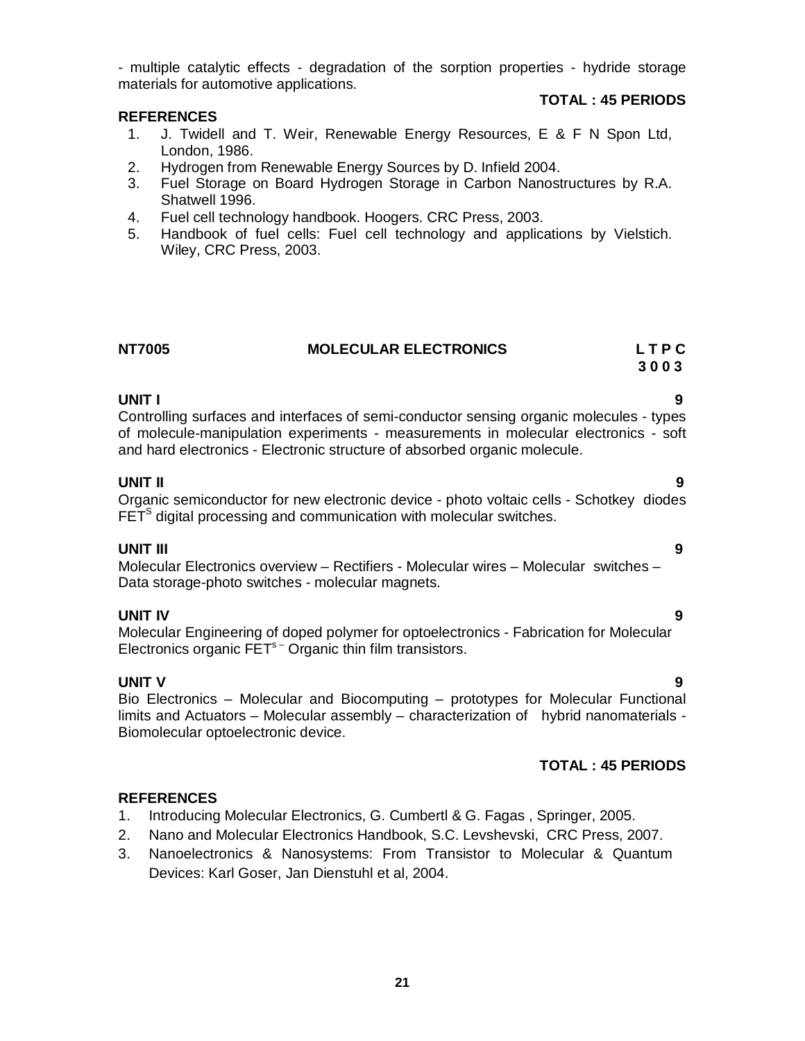- multiple catalytic effects - degradation of the sorption properties - hydride storage materials for automotive applications.

# **REFERENCES**

# **TOTAL : 45 PERIODS**

- 1. J. Twidell and T. Weir, Renewable Energy Resources, E & F N Spon Ltd, London, 1986.
- 2. Hydrogen from Renewable Energy Sources by D. Infield 2004.
- 3. Fuel Storage on Board Hydrogen Storage in Carbon Nanostructures by R.A. Shatwell 1996.
- 4. Fuel cell technology handbook. Hoogers. CRC Press, 2003.
- 5. Handbook of fuel cells: Fuel cell technology and applications by Vielstich. Wiley, CRC Press, 2003.

| <b>NT7005</b> | <b>MOLECULAR ELECTRONICS</b> | <b>LTPC</b> |
|---------------|------------------------------|-------------|
|               |                              | 3003        |

# **UNIT I 9**

Controlling surfaces and interfaces of semi-conductor sensing organic molecules - types of molecule-manipulation experiments - measurements in molecular electronics - soft and hard electronics - Electronic structure of absorbed organic molecule.

# **UNIT II 9**

Organic semiconductor for new electronic device - photo voltaic cells - Schotkey diodes  $\mathsf{FET}^{\mathsf{S}}$  digital processing and communication with molecular switches.

# **UNIT III 9**

Molecular Electronics overview – Rectifiers - Molecular wires – Molecular switches – Data storage-photo switches - molecular magnets.

# **UNIT IV 9**

Molecular Engineering of doped polymer for optoelectronics - Fabrication for Molecular Electronics organic  $FET<sup>s</sup>$  Organic thin film transistors.

**UNIT V 9** Bio Electronics – Molecular and Biocomputing – prototypes for Molecular Functional limits and Actuators – Molecular assembly – characterization of hybrid nanomaterials - Biomolecular optoelectronic device.

# **TOTAL : 45 PERIODS**

- 1. Introducing Molecular Electronics, G. Cumbertl & G. Fagas , Springer, 2005.
- 2. Nano and Molecular Electronics Handbook, S.C. Levshevski, CRC Press, 2007.
- 3. Nanoelectronics & Nanosystems: From Transistor to Molecular & Quantum Devices: Karl Goser, Jan Dienstuhl et al, 2004.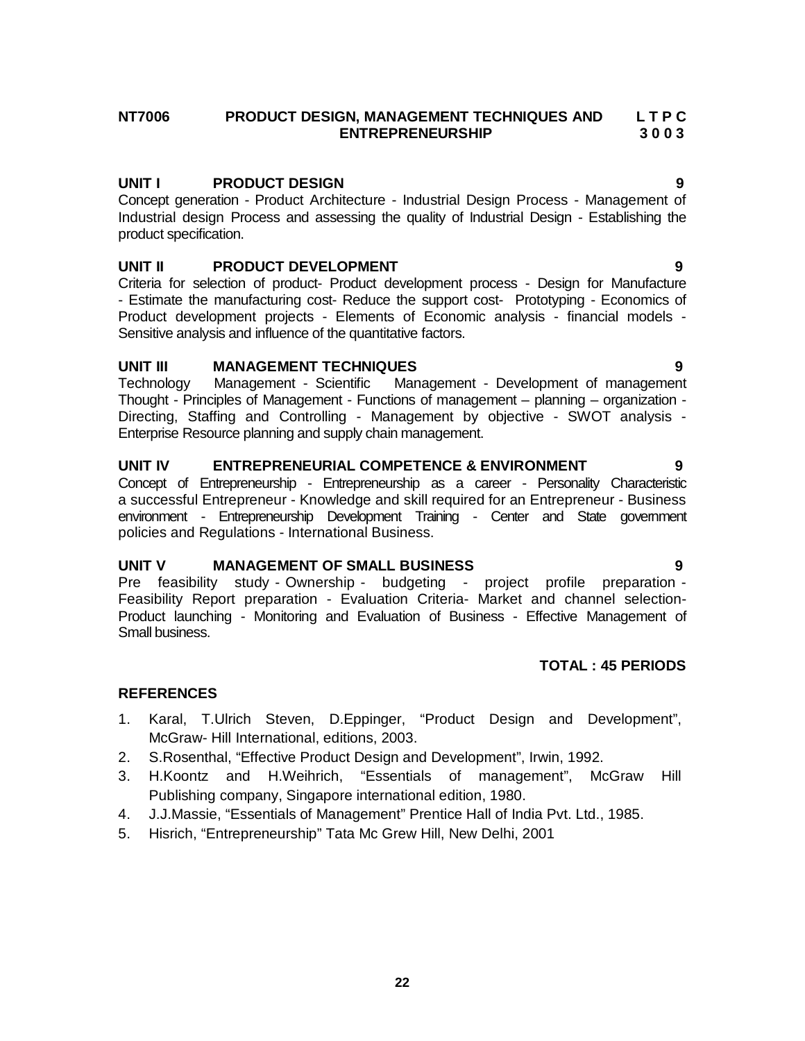# **NT7006 PRODUCT DESIGN, MANAGEMENT TECHNIQUES AND L T P C ENTREPRENEURSHIP**

# **UNIT I PRODUCT DESIGN 9**

Concept generation - Product Architecture - Industrial Design Process - Management of Industrial design Process and assessing the quality of Industrial Design - Establishing the product specification.

# **UNIT II PRODUCT DEVELOPMENT 9**

Criteria for selection of product- Product development process - Design for Manufacture - Estimate the manufacturing cost- Reduce the support cost- Prototyping - Economics of Product development projects - Elements of Economic analysis - financial models - Sensitive analysis and influence of the quantitative factors.

# **UNIT III MANAGEMENT TECHNIQUES 9**

Technology Management - Scientific Management - Development of management Thought - Principles of Management - Functions of management – planning – organization - Directing, Staffing and Controlling - Management by objective - SWOT analysis - Enterprise Resource planning and supply chain management.

# **UNIT IV ENTREPRENEURIAL COMPETENCE & ENVIRONMENT 9**

Concept of Entrepreneurship - Entrepreneurship as a career - Personality Characteristic a successful Entrepreneur - Knowledge and skill required for an Entrepreneur - Business environment - Entrepreneurship Development Training - Center and State government policies and Regulations - International Business.

# **UNIT V MANAGEMENT OF SMALL BUSINESS 9**

Pre feasibility study - Ownership - budgeting - project profile preparation - Feasibility Report preparation - Evaluation Criteria- Market and channel selection-Product launching - Monitoring and Evaluation of Business - Effective Management of Small business.

# **TOTAL : 45 PERIODS**

- 1. Karal, T.Ulrich Steven, D.Eppinger, "Product Design and Development", McGraw- Hill International, editions, 2003.
- 2. S.Rosenthal, "Effective Product Design and Development", Irwin, 1992.
- 3. H.Koontz and H.Weihrich, "Essentials of management", McGraw Hill Publishing company, Singapore international edition, 1980.
- 4. J.J.Massie, "Essentials of Management" Prentice Hall of India Pvt. Ltd., 1985.
- 5. Hisrich, "Entrepreneurship" Tata Mc Grew Hill, New Delhi, 2001
- 
-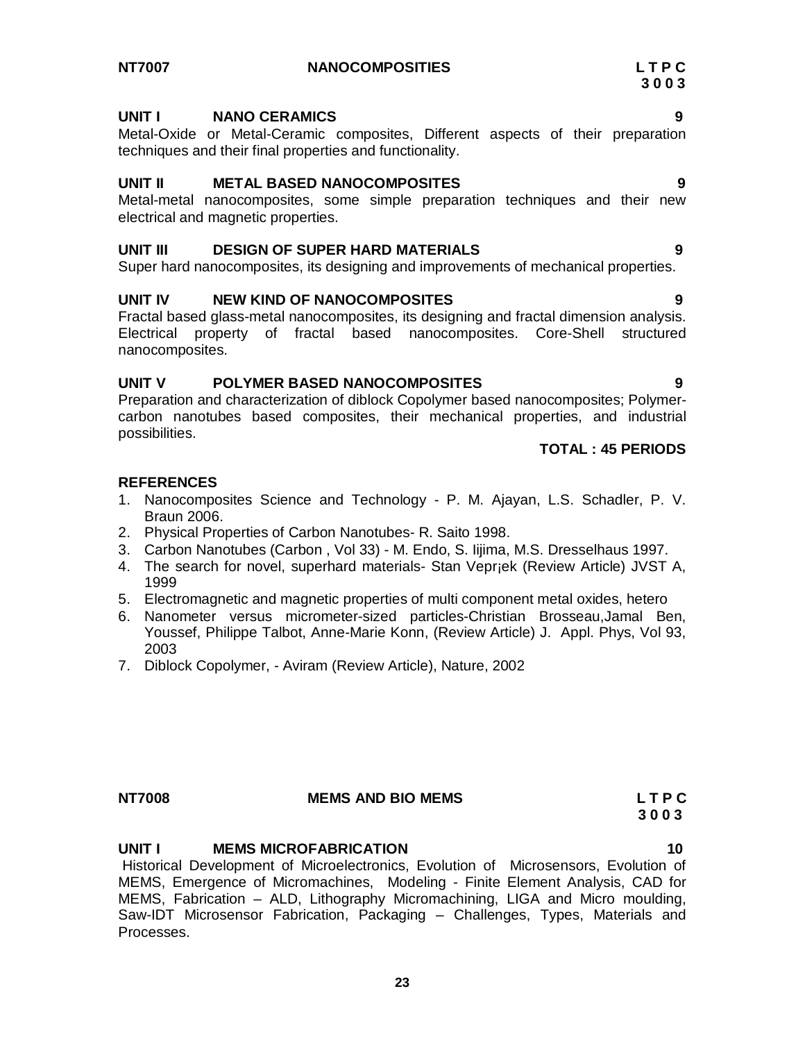# **UNIT I NANO CERAMICS 9**

Metal-Oxide or Metal-Ceramic composites, Different aspects of their preparation techniques and their final properties and functionality.

# **UNIT II METAL BASED NANOCOMPOSITES 9**

Metal-metal nanocomposites, some simple preparation techniques and their new electrical and magnetic properties.

# **UNIT III DESIGN OF SUPER HARD MATERIALS 9**

Super hard nanocomposites, its designing and improvements of mechanical properties.

# **UNIT IV NEW KIND OF NANOCOMPOSITES 9**

Fractal based glass-metal nanocomposites, its designing and fractal dimension analysis. Electrical property of fractal based nanocomposites. Core-Shell structured nanocomposites.

# **UNIT V POLYMER BASED NANOCOMPOSITES 9**

Preparation and characterization of diblock Copolymer based nanocomposites; Polymercarbon nanotubes based composites, their mechanical properties, and industrial possibilities.

# **TOTAL : 45 PERIODS**

### **REFERENCES**

- 1. Nanocomposites Science and Technology P. M. Ajayan, L.S. Schadler, P. V. Braun 2006.
- 2. Physical Properties of Carbon Nanotubes- R. Saito 1998.
- 3. Carbon Nanotubes (Carbon , Vol 33) M. Endo, S. Iijima, M.S. Dresselhaus 1997.
- 4. The search for novel, superhard materials- Stan Vepr¡ek (Review Article) JVST A, 1999
- 5. Electromagnetic and magnetic properties of multi component metal oxides, hetero
- 6. Nanometer versus micrometer-sized particles-Christian Brosseau,Jamal Ben, Youssef, Philippe Talbot, Anne-Marie Konn, (Review Article) J. Appl. Phys, Vol 93, 2003
- 7. Diblock Copolymer, Aviram (Review Article), Nature, 2002

# **NT7008 MEMS AND BIO MEMS L T P C**

# **UNIT I MEMS MICROFABRICATION 10**

Historical Development of Microelectronics, Evolution of Microsensors, Evolution of MEMS, Emergence of Micromachines, Modeling - Finite Element Analysis, CAD for MEMS, Fabrication – ALD, Lithography Micromachining, LIGA and Micro moulding, Saw-IDT Microsensor Fabrication, Packaging – Challenges, Types, Materials and Processes.

 **3 0 0 3**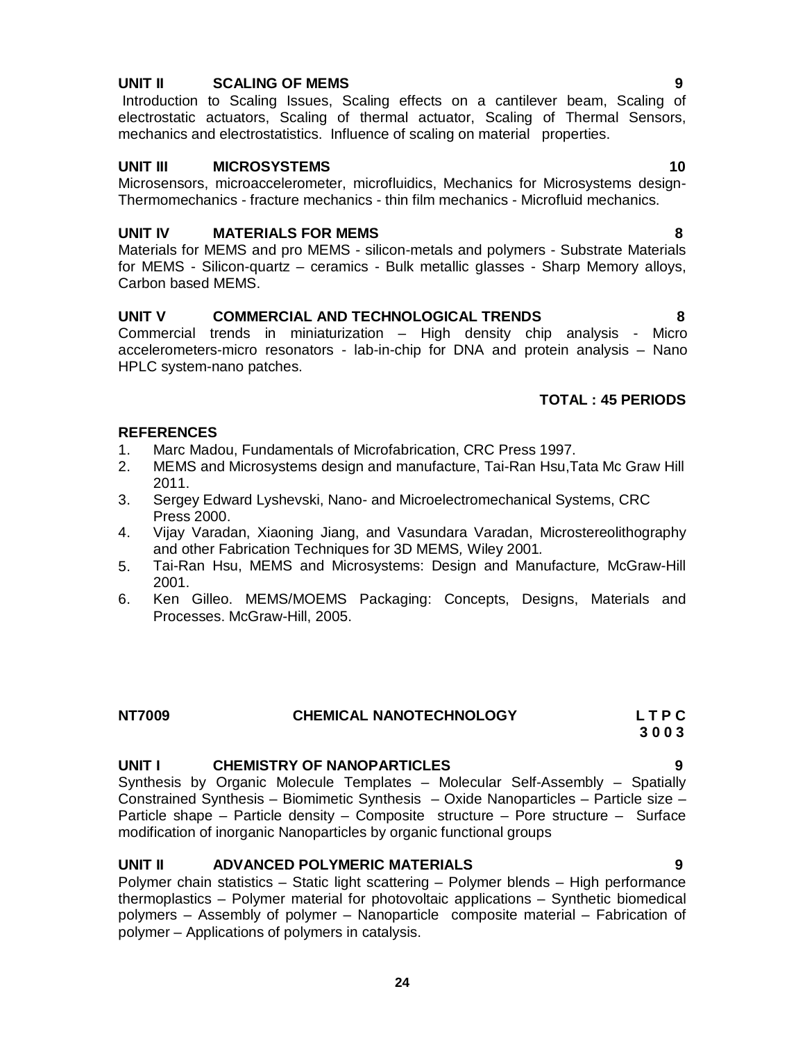# **UNIT II SCALING OF MEMS 9**

Introduction to Scaling Issues, Scaling effects on a cantilever beam, Scaling of electrostatic actuators, Scaling of thermal actuator, Scaling of Thermal Sensors, mechanics and electrostatistics. Influence of scaling on material properties.

# **UNIT III MICROSYSTEMS 10**

Microsensors, microaccelerometer, microfluidics, Mechanics for Microsystems design-Thermomechanics - fracture mechanics - thin film mechanics - Microfluid mechanics.

# **UNIT IV MATERIALS FOR MEMS 8**

Materials for MEMS and pro MEMS - silicon-metals and polymers - Substrate Materials for MEMS - Silicon-quartz – ceramics - Bulk metallic glasses - Sharp Memory alloys, Carbon based MEMS.

# **UNIT V COMMERCIAL AND TECHNOLOGICAL TRENDS 8**

Commercial trends in miniaturization – High density chip analysis - Micro accelerometers-micro resonators - lab-in-chip for DNA and protein analysis – Nano HPLC system-nano patches.

# **TOTAL : 45 PERIODS**

# **REFERENCES**

- 1. Marc Madou, Fundamentals of Microfabrication, CRC Press 1997.
- 2. MEMS and Microsystems design and manufacture, Tai-Ran Hsu,Tata Mc Graw Hill 2011.
- 3. Sergey Edward Lyshevski, Nano- and Microelectromechanical Systems, CRC Press 2000.
- 4. Vijay Varadan, Xiaoning Jiang, and Vasundara Varadan, Microstereolithography and other Fabrication Techniques for 3D MEMS*,* Wiley 2001*.*
- 5. Tai-Ran Hsu, MEMS and Microsystems: Design and Manufacture*,* McGraw-Hill 2001.
- 6. Ken Gilleo. MEMS/MOEMS Packaging: Concepts, Designs, Materials and Processes. McGraw-Hill, 2005.

| <b>NT7009</b> | <b>CHEMICAL NANOTECHNOLOGY</b> | LTPC |
|---------------|--------------------------------|------|
|               |                                |      |

# **UNIT I CHEMISTRY OF NANOPARTICLES 9**

Synthesis by Organic Molecule Templates – Molecular Self-Assembly – Spatially Constrained Synthesis – Biomimetic Synthesis – Oxide Nanoparticles – Particle size – Particle shape – Particle density – Composite structure – Pore structure – Surface modification of inorganic Nanoparticles by organic functional groups

# **UNIT II ADVANCED POLYMERIC MATERIALS 9**

Polymer chain statistics – Static light scattering – Polymer blends – High performance thermoplastics – Polymer material for photovoltaic applications – Synthetic biomedical polymers – Assembly of polymer – Nanoparticle composite material – Fabrication of polymer – Applications of polymers in catalysis.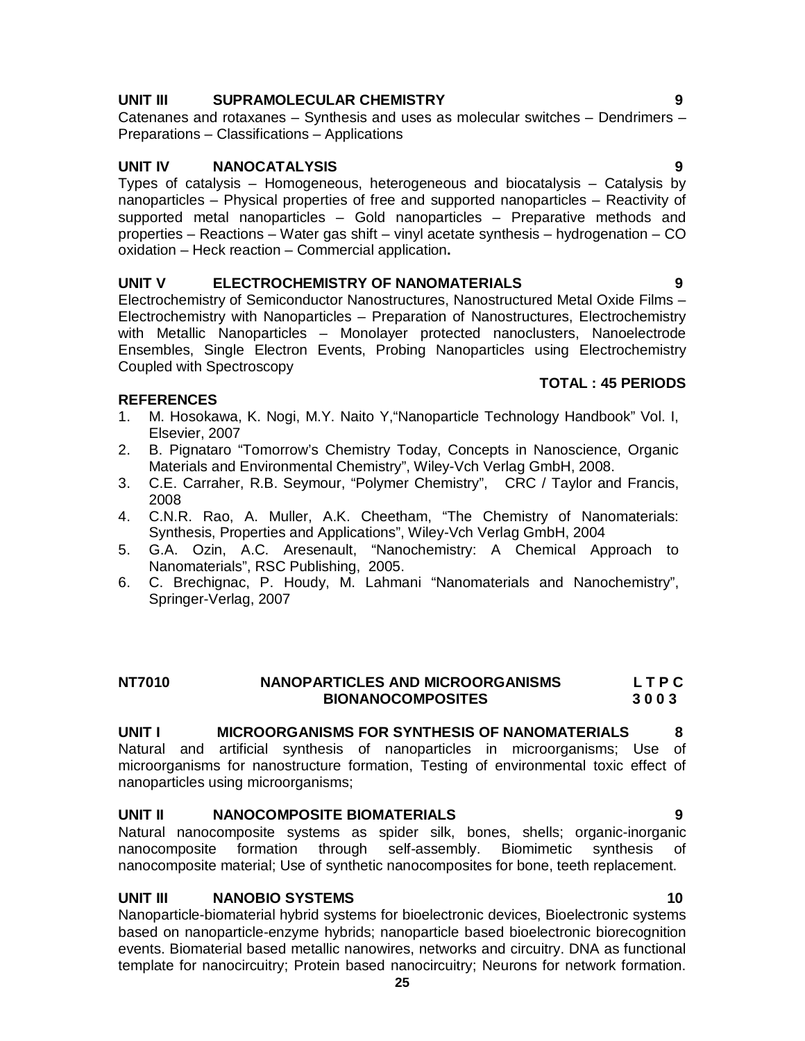# **UNIT III SUPRAMOLECULAR CHEMISTRY 9**

Catenanes and rotaxanes – Synthesis and uses as molecular switches – Dendrimers – Preparations – Classifications – Applications

# **UNIT IV NANOCATALYSIS 9**

Types of catalysis – Homogeneous, heterogeneous and biocatalysis – Catalysis by nanoparticles – Physical properties of free and supported nanoparticles – Reactivity of supported metal nanoparticles – Gold nanoparticles – Preparative methods and properties – Reactions – Water gas shift – vinyl acetate synthesis – hydrogenation – CO oxidation – Heck reaction – Commercial application**.**

# **UNIT V ELECTROCHEMISTRY OF NANOMATERIALS 9**

Electrochemistry of Semiconductor Nanostructures, Nanostructured Metal Oxide Films – Electrochemistry with Nanoparticles – Preparation of Nanostructures, Electrochemistry with Metallic Nanoparticles – Monolayer protected nanoclusters, Nanoelectrode Ensembles, Single Electron Events, Probing Nanoparticles using Electrochemistry Coupled with Spectroscopy

# **TOTAL : 45 PERIODS**

# **REFERENCES**

- 1. M. Hosokawa, K. Nogi, M.Y. Naito Y,"Nanoparticle Technology Handbook" Vol. I, Elsevier, 2007
- 2. B. Pignataro "Tomorrow's Chemistry Today, Concepts in Nanoscience, Organic Materials and Environmental Chemistry", Wiley-Vch Verlag GmbH, 2008.
- 3. C.E. Carraher, R.B. Seymour, "Polymer Chemistry", CRC / Taylor and Francis, 2008
- 4. C.N.R. Rao, A. Muller, A.K. Cheetham, "The Chemistry of Nanomaterials: Synthesis, Properties and Applications", Wiley-Vch Verlag GmbH, 2004
- 5. G.A. Ozin, A.C. Aresenault, "Nanochemistry: A Chemical Approach to Nanomaterials", RSC Publishing, 2005.
- 6. C. Brechignac, P. Houdy, M. Lahmani "Nanomaterials and Nanochemistry", Springer-Verlag, 2007

# **NT7010 NANOPARTICLES AND MICROORGANISMS L T P C BIONANOCOMPOSITES 3 0 0 3**

# **UNIT I MICROORGANISMS FOR SYNTHESIS OF NANOMATERIALS 8**

Natural and artificial synthesis of nanoparticles in microorganisms; Use of microorganisms for nanostructure formation, Testing of environmental toxic effect of nanoparticles using microorganisms;

# **UNIT II NANOCOMPOSITE BIOMATERIALS 9**

Natural nanocomposite systems as spider silk, bones, shells; organic-inorganic nanocomposite formation through self-assembly. Biomimetic synthesis of nanocomposite material; Use of synthetic nanocomposites for bone, teeth replacement.

# **UNIT III NANOBIO SYSTEMS 10**

Nanoparticle-biomaterial hybrid systems for bioelectronic devices, Bioelectronic systems based on nanoparticle-enzyme hybrids; nanoparticle based bioelectronic biorecognition events. Biomaterial based metallic nanowires, networks and circuitry. DNA as functional template for nanocircuitry; Protein based nanocircuitry; Neurons for network formation.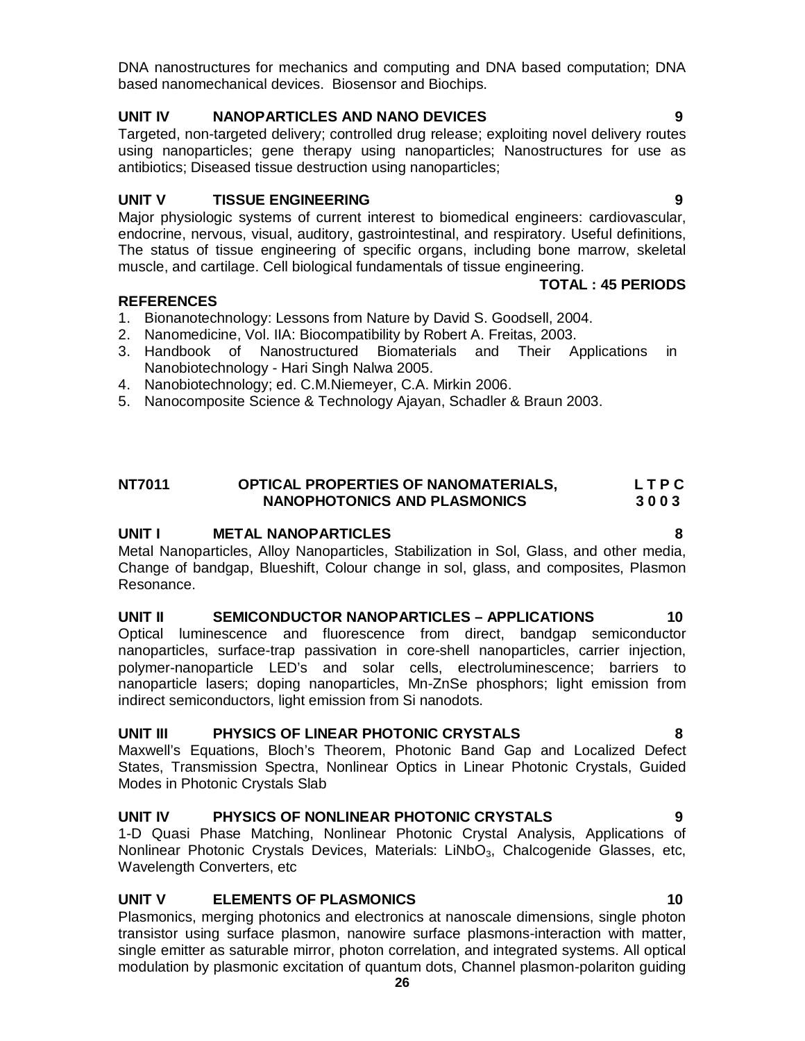DNA nanostructures for mechanics and computing and DNA based computation; DNA based nanomechanical devices. Biosensor and Biochips.

# **UNIT IV NANOPARTICLES AND NANO DEVICES 9**

Targeted, non-targeted delivery; controlled drug release; exploiting novel delivery routes using nanoparticles; gene therapy using nanoparticles; Nanostructures for use as antibiotics; Diseased tissue destruction using nanoparticles;

# **UNIT V TISSUE ENGINEERING 9**

Major physiologic systems of current interest to biomedical engineers: cardiovascular, endocrine, nervous, visual, auditory, gastrointestinal, and respiratory. Useful definitions, The status of tissue engineering of specific organs, including bone marrow, skeletal muscle, and cartilage. Cell biological fundamentals of tissue engineering.

# **REFERENCES**

- 1. Bionanotechnology: Lessons from Nature by David S. Goodsell, 2004.
- 2. Nanomedicine, Vol. IIA: Biocompatibility by Robert A. Freitas, 2003.
- 3. Handbook of Nanostructured Biomaterials and Their Applications in Nanobiotechnology - Hari Singh Nalwa 2005.
- 4. Nanobiotechnology; ed. C.M.Niemeyer, C.A. Mirkin 2006.
- 5. Nanocomposite Science & Technology Ajayan, Schadler & Braun 2003.

# **NT7011 OPTICAL PROPERTIES OF NANOMATERIALS, L T P C NANOPHOTONICS AND PLASMONICS 3 0 0 3**

# **UNIT I METAL NANOPARTICLES 8**

Metal Nanoparticles, Alloy Nanoparticles, Stabilization in Sol, Glass, and other media, Change of bandgap, Blueshift, Colour change in sol, glass, and composites, Plasmon Resonance.

# **UNIT II SEMICONDUCTOR NANOPARTICLES – APPLICATIONS 10**

Optical luminescence and fluorescence from direct, bandgap semiconductor nanoparticles, surface-trap passivation in core-shell nanoparticles, carrier injection, polymer-nanoparticle LED's and solar cells, electroluminescence; barriers to nanoparticle lasers; doping nanoparticles, Mn-ZnSe phosphors; light emission from indirect semiconductors, light emission from Si nanodots.

# **UNIT III PHYSICS OF LINEAR PHOTONIC CRYSTALS 8**

Maxwell's Equations, Bloch's Theorem, Photonic Band Gap and Localized Defect States, Transmission Spectra, Nonlinear Optics in Linear Photonic Crystals, Guided Modes in Photonic Crystals Slab

# **UNIT IV PHYSICS OF NONLINEAR PHOTONIC CRYSTALS 9**

1-D Quasi Phase Matching, Nonlinear Photonic Crystal Analysis, Applications of Nonlinear Photonic Crystals Devices, Materials: LiNbO<sub>3</sub>, Chalcogenide Glasses, etc, Wavelength Converters, etc

# **UNIT V ELEMENTS OF PLASMONICS 10**

Plasmonics, merging photonics and electronics at nanoscale dimensions, single photon transistor using surface plasmon, nanowire surface plasmons-interaction with matter, single emitter as saturable mirror, photon correlation, and integrated systems. All optical modulation by plasmonic excitation of quantum dots, Channel plasmon-polariton guiding

**TOTAL : 45 PERIODS**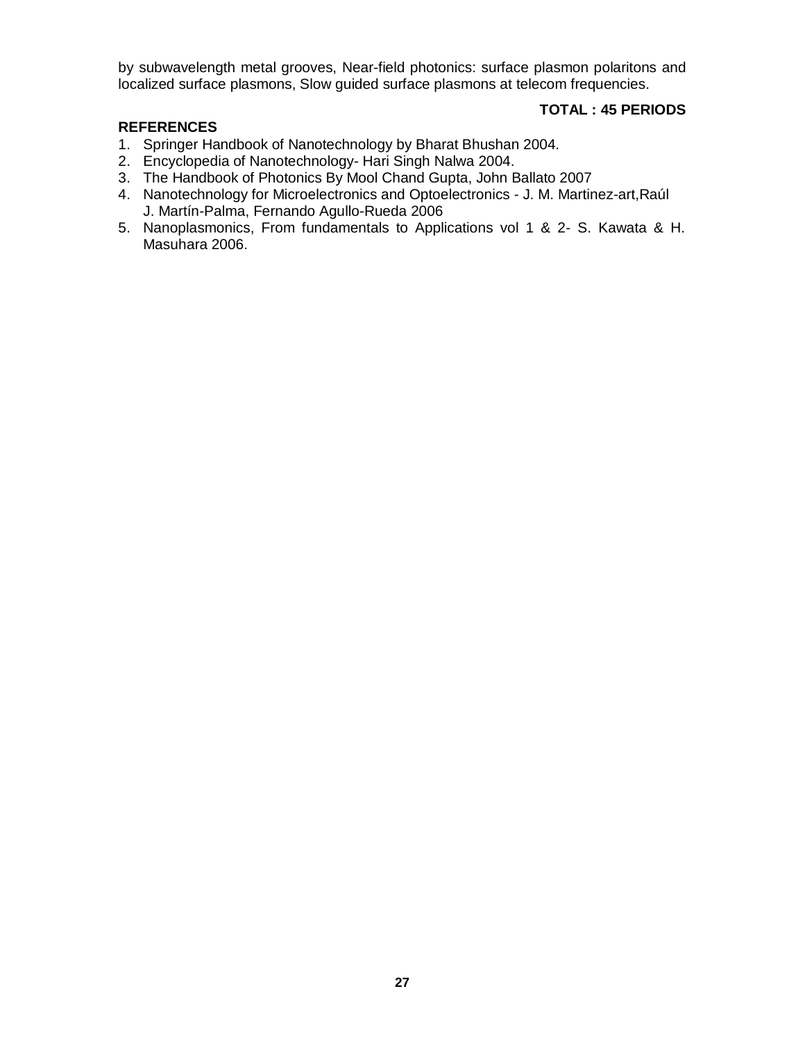by subwavelength metal grooves, Near-field photonics: surface plasmon polaritons and localized surface plasmons, Slow guided surface plasmons at telecom frequencies.

# **TOTAL : 45 PERIODS**

- 1. Springer Handbook of Nanotechnology by Bharat Bhushan 2004.
- 2. Encyclopedia of Nanotechnology- Hari Singh Nalwa 2004.
- 3. The Handbook of Photonics By Mool Chand Gupta, John Ballato 2007
- 4. Nanotechnology for Microelectronics and Optoelectronics J. M. Martinez-art,Raúl J. Martín-Palma, Fernando Agullo-Rueda 2006
- 5. Nanoplasmonics, From fundamentals to Applications vol 1 & 2- S. Kawata & H. Masuhara 2006.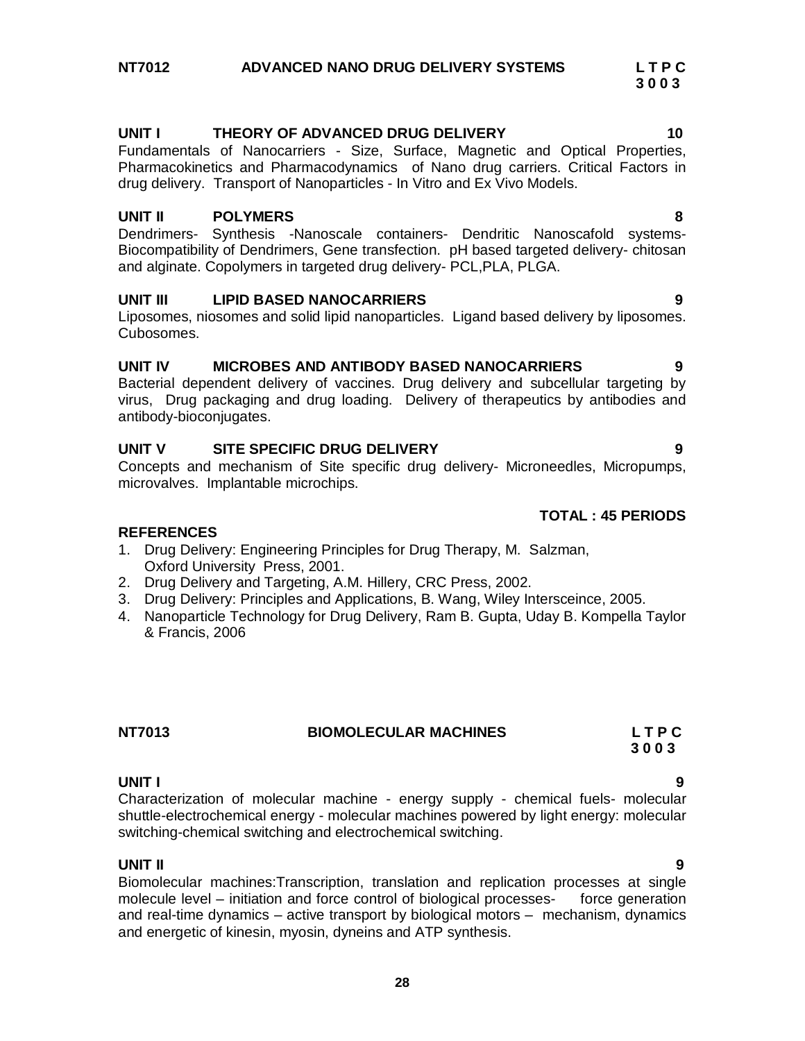# **UNIT I THEORY OF ADVANCED DRUG DELIVERY 10**

Fundamentals of Nanocarriers - Size, Surface, Magnetic and Optical Properties, Pharmacokinetics and Pharmacodynamics of Nano drug carriers. Critical Factors in drug delivery. Transport of Nanoparticles - In Vitro and Ex Vivo Models.

# **UNIT II POLYMERS 8**

Dendrimers- Synthesis -Nanoscale containers- Dendritic Nanoscafold systems-Biocompatibility of Dendrimers, Gene transfection. pH based targeted delivery- chitosan and alginate. Copolymers in targeted drug delivery- PCL,PLA, PLGA.

# **UNIT III LIPID BASED NANOCARRIERS 9**

Liposomes, niosomes and solid lipid nanoparticles. Ligand based delivery by liposomes. Cubosomes.

# **UNIT IV MICROBES AND ANTIBODY BASED NANOCARRIERS 9**

Bacterial dependent delivery of vaccines. Drug delivery and subcellular targeting by virus, Drug packaging and drug loading. Delivery of therapeutics by antibodies and antibody-bioconjugates.

# **UNIT V SITE SPECIFIC DRUG DELIVERY 9**

Concepts and mechanism of Site specific drug delivery- Microneedles, Micropumps, microvalves. Implantable microchips.

# **REFERENCES**

- 1. Drug Delivery: Engineering Principles for Drug Therapy, M. Salzman, Oxford University Press, 2001.
- 2. Drug Delivery and Targeting, A.M. Hillery, CRC Press, 2002.
- 3. Drug Delivery: Principles and Applications, B. Wang, Wiley Intersceince, 2005.
- 4. Nanoparticle Technology for Drug Delivery, Ram B. Gupta, Uday B. Kompella Taylor & Francis, 2006

**NT7013 BIOMOLECULAR MACHINES L T P C**

**UNIT I 9** Characterization of molecular machine - energy supply - chemical fuels- molecular shuttle-electrochemical energy - molecular machines powered by light energy: molecular switching-chemical switching and electrochemical switching.

 **3 0 0 3**

# **UNIT II 9**

Biomolecular machines:Transcription, translation and replication processes at single molecule level – initiation and force control of biological processesand real-time dynamics – active transport by biological motors – mechanism, dynamics and energetic of kinesin, myosin, dyneins and ATP synthesis.

# **TOTAL : 45 PERIODS**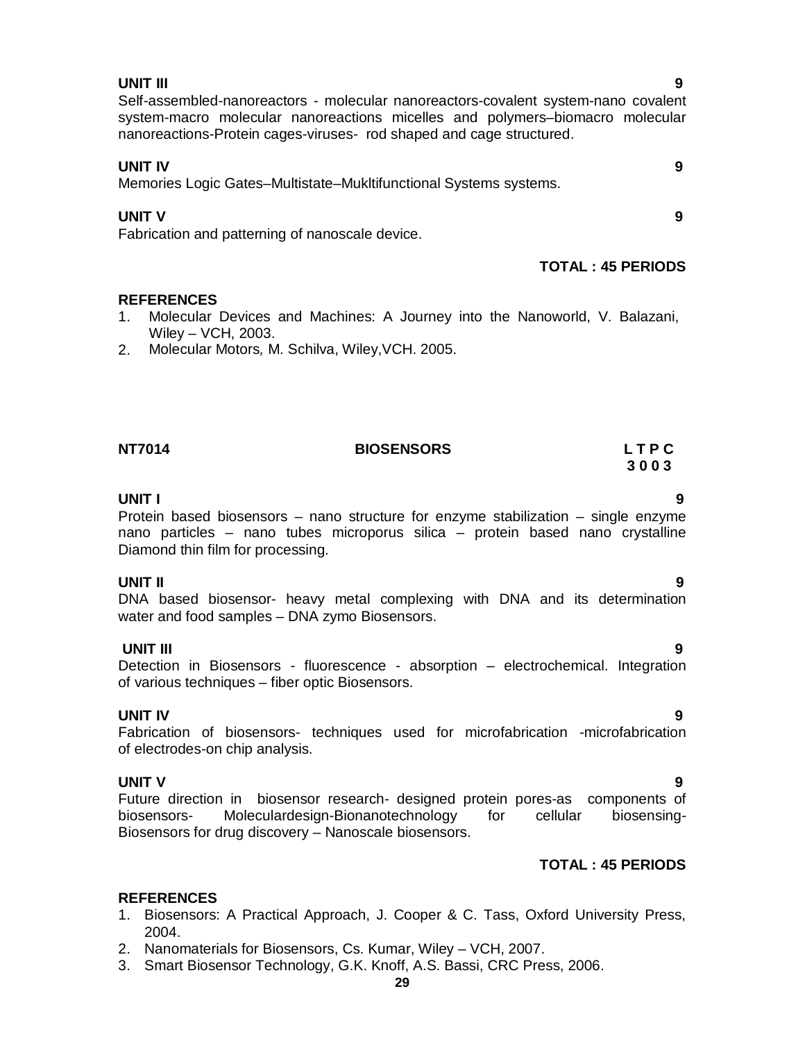# **29**

# **UNIT III 9**

# Self-assembled-nanoreactors - molecular nanoreactors-covalent system-nano covalent system-macro molecular nanoreactions micelles and polymers–biomacro molecular nanoreactions-Protein cages-viruses- rod shaped and cage structured.

**UNIT IV 9** Memories Logic Gates–Multistate–Mukltifunctional Systems systems.

# **UNIT V 9**

Fabrication and patterning of nanoscale device.

# **TOTAL : 45 PERIODS**

# **REFERENCES**

- 1. Molecular Devices and Machines: A Journey into the Nanoworld, V. Balazani, Wiley – VCH, 2003.
- 2. Molecular Motors*,* M. Schilva, Wiley,VCH. 2005.

# **3 0 0 3 UNIT I 9**

Protein based biosensors – nano structure for enzyme stabilization – single enzyme nano particles – nano tubes microporus silica – protein based nano crystalline Diamond thin film for processing.

**NT7014 BIOSENSORS L T P C**

# **UNIT II 9**

DNA based biosensor- heavy metal complexing with DNA and its determination water and food samples – DNA zymo Biosensors.

# **UNIT III 9**

Detection in Biosensors - fluorescence - absorption – electrochemical. Integration of various techniques – fiber optic Biosensors.

# **UNIT IV 9**

Fabrication of biosensors- techniques used for microfabrication -microfabrication of electrodes-on chip analysis.

**UNIT V 9** Future direction in biosensor research- designed protein pores-as components of biosensors- Moleculardesign-Bionanotechnology for cellular biosensing-Biosensors for drug discovery – Nanoscale biosensors.

# **TOTAL : 45 PERIODS**

- 1. Biosensors: A Practical Approach, J. Cooper & C. Tass, Oxford University Press, 2004.
- 2. Nanomaterials for Biosensors, Cs. Kumar, Wiley VCH, 2007.
- 3. Smart Biosensor Technology, G.K. Knoff, A.S. Bassi, CRC Press, 2006.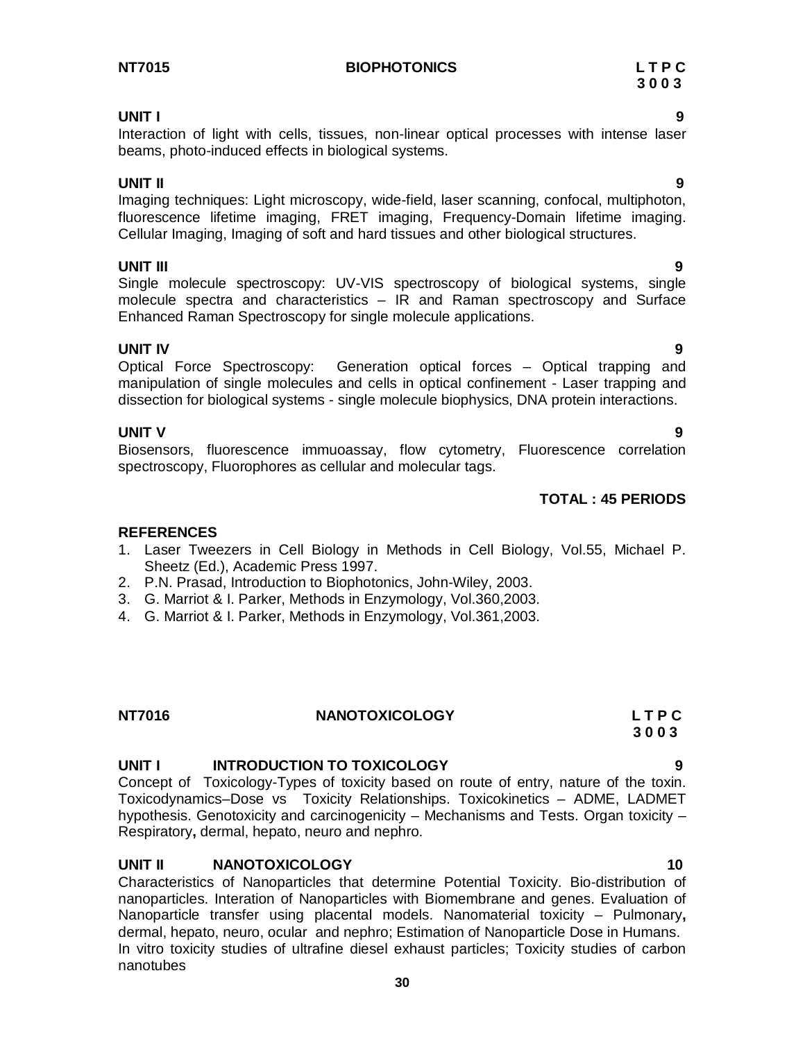# **NT7015 BIOPHOTONICS L T P C**

# **UNIT I 9**

Interaction of light with cells, tissues, non-linear optical processes with intense laser beams, photo-induced effects in biological systems.

**UNIT II 9** Imaging techniques: Light microscopy, wide-field, laser scanning, confocal, multiphoton, fluorescence lifetime imaging, FRET imaging, Frequency-Domain lifetime imaging. Cellular Imaging, Imaging of soft and hard tissues and other biological structures.

**UNIT III 9** Single molecule spectroscopy: UV-VIS spectroscopy of biological systems, single molecule spectra and characteristics – IR and Raman spectroscopy and Surface Enhanced Raman Spectroscopy for single molecule applications.

**UNIT IV 9** Optical Force Spectroscopy: Generation optical forces – Optical trapping and manipulation of single molecules and cells in optical confinement - Laser trapping and dissection for biological systems - single molecule biophysics, DNA protein interactions.

# **UNIT V 9**

Biosensors, fluorescence immuoassay, flow cytometry, Fluorescence correlation spectroscopy, Fluorophores as cellular and molecular tags.

# **REFERENCES**

- 1. Laser Tweezers in Cell Biology in Methods in Cell Biology, Vol.55, Michael P. Sheetz (Ed.), Academic Press 1997.
- 2. P.N. Prasad, Introduction to Biophotonics, John-Wiley, 2003.
- 3. G. Marriot & I. Parker, Methods in Enzymology, Vol.360,2003.
- 4. G. Marriot & I. Parker, Methods in Enzymology, Vol.361,2003.

# **NT7016 NANOTOXICOLOGY L T P C**

# **UNIT I INTRODUCTION TO TOXICOLOGY 9**

Concept of Toxicology-Types of toxicity based on route of entry, nature of the toxin. Toxicodynamics–Dose vs Toxicity Relationships. Toxicokinetics – ADME, LADMET hypothesis. Genotoxicity and carcinogenicity – Mechanisms and Tests. Organ toxicity – Respiratory**,** dermal, hepato, neuro and nephro.

# **UNIT II NANOTOXICOLOGY 10**

Characteristics of Nanoparticles that determine Potential Toxicity. Bio-distribution of nanoparticles. Interation of Nanoparticles with Biomembrane and genes. Evaluation of Nanoparticle transfer using placental models. Nanomaterial toxicity – Pulmonary**,**  dermal, hepato, neuro, ocular and nephro; Estimation of Nanoparticle Dose in Humans. In vitro toxicity studies of ultrafine diesel exhaust particles; Toxicity studies of carbon nanotubes

# **TOTAL : 45 PERIODS**

# **3 0 0 3**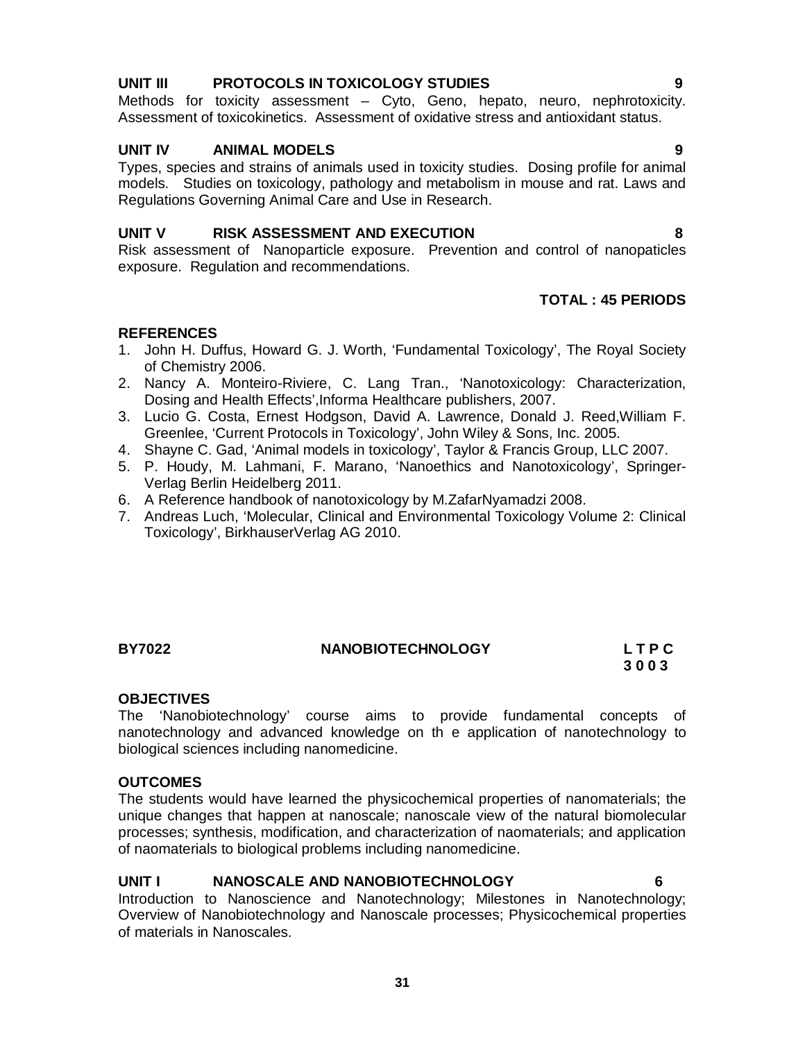# **UNIT III PROTOCOLS IN TOXICOLOGY STUDIES 9**

Methods for toxicity assessment – Cyto, Geno, hepato, neuro, nephrotoxicity. Assessment of toxicokinetics. Assessment of oxidative stress and antioxidant status.

# **UNIT IV ANIMAL MODELS 9**

Types, species and strains of animals used in toxicity studies. Dosing profile for animal models. Studies on toxicology, pathology and metabolism in mouse and rat. Laws and Regulations Governing Animal Care and Use in Research.

# **UNIT V RISK ASSESSMENT AND EXECUTION 8**

Risk assessment of Nanoparticle exposure. Prevention and control of nanopaticles exposure. Regulation and recommendations.

# **TOTAL : 45 PERIODS**

# **REFERENCES**

- 1. John H. Duffus, Howard G. J. Worth, 'Fundamental Toxicology', The Royal Society of Chemistry 2006.
- 2. Nancy A. Monteiro-Riviere, C. Lang Tran., 'Nanotoxicology: Characterization, Dosing and Health Effects',Informa Healthcare publishers, 2007.
- 3. Lucio G. Costa, Ernest Hodgson, David A. Lawrence, Donald J. Reed,William F. Greenlee, 'Current Protocols in Toxicology', John Wiley & Sons, Inc. 2005.
- 4. Shayne C. Gad, 'Animal models in toxicology', Taylor & Francis Group, LLC 2007.
- 5. P. Houdy, M. Lahmani, F. Marano, 'Nanoethics and Nanotoxicology', Springer-Verlag Berlin Heidelberg 2011.
- 6. A Reference handbook of nanotoxicology by M.ZafarNyamadzi 2008.
- 7. Andreas Luch, 'Molecular, Clinical and Environmental Toxicology Volume 2: Clinical Toxicology', BirkhauserVerlag AG 2010.

# **BY7022 NANOBIOTECHNOLOGY L T P C**

# **3 0 0 3**

# **OBJECTIVES**

The 'Nanobiotechnology' course aims to provide fundamental concepts of nanotechnology and advanced knowledge on th e application of nanotechnology to biological sciences including nanomedicine.

# **OUTCOMES**

The students would have learned the physicochemical properties of nanomaterials; the unique changes that happen at nanoscale; nanoscale view of the natural biomolecular processes; synthesis, modification, and characterization of naomaterials; and application of naomaterials to biological problems including nanomedicine.

# **UNIT I NANOSCALE AND NANOBIOTECHNOLOGY 6**

Introduction to Nanoscience and Nanotechnology; Milestones in Nanotechnology; Overview of Nanobiotechnology and Nanoscale processes; Physicochemical properties of materials in Nanoscales.